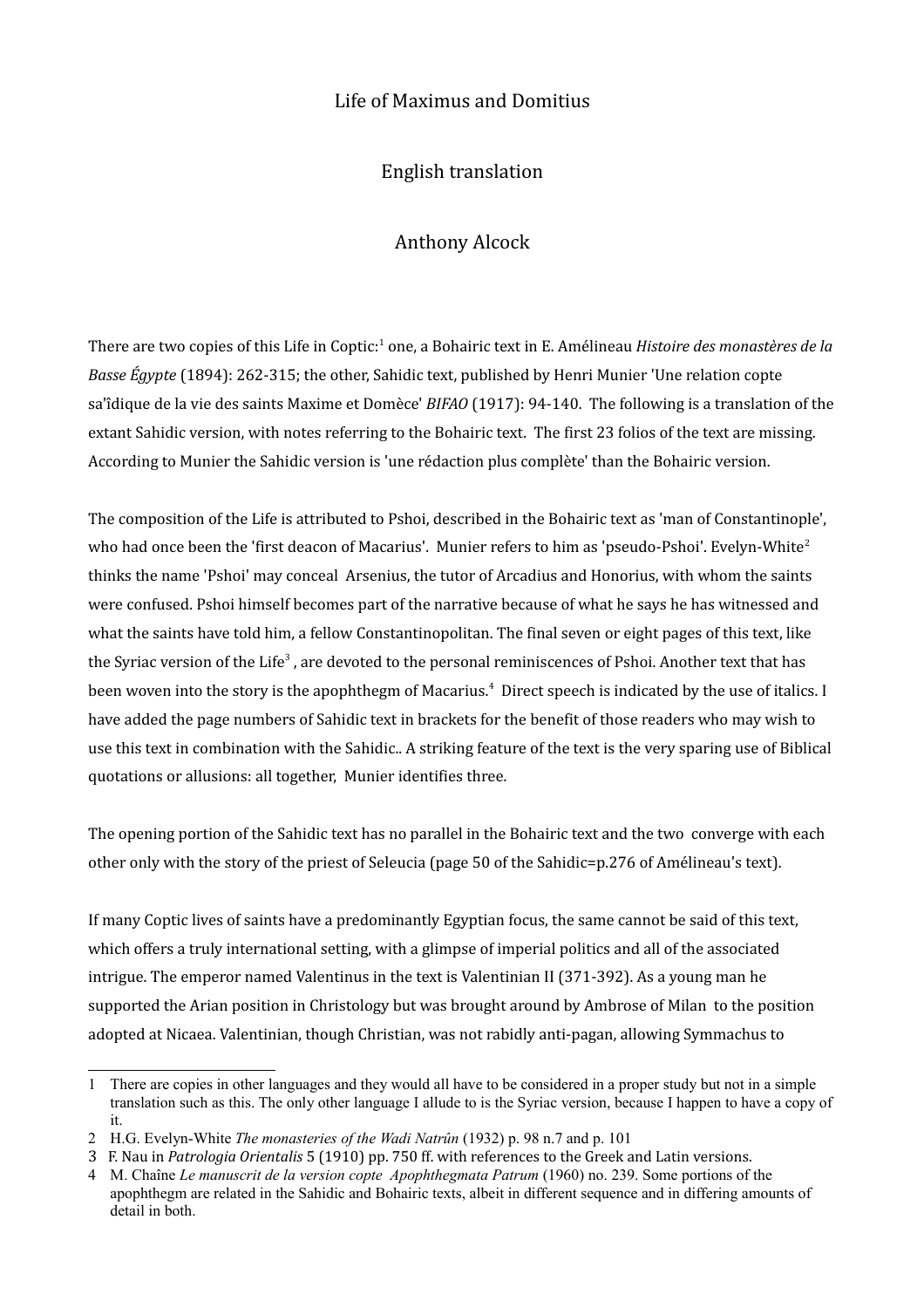## Life of Maximus and Domitius

English translation

## Anthony Alcock

There are two copies of this Life in Coptic:<sup>[1](#page-0-0)</sup> one, a Bohairic text in E. Amélineau *Histoire des monastères de la Basse Égypte* (1894): 262-315; the other, Sahidic text, published by Henri Munier 'Une relation copte sa'îdique de la vie des saints Maxime et Domèce' *BIFAO* (1917): 94-140. The following is a translation of the extant Sahidic version, with notes referring to the Bohairic text. The first 23 folios of the text are missing. According to Munier the Sahidic version is 'une rédaction plus complète' than the Bohairic version.

The composition of the Life is attributed to Pshoi, described in the Bohairic text as 'man of Constantinople', who had once been the 'first deacon of Macarius'. Munier refers to him as 'pseudo-Pshoi'. Evelyn-White<sup>[2](#page-0-1)</sup> thinks the name 'Pshoi' may conceal Arsenius, the tutor of Arcadius and Honorius, with whom the saints were confused. Pshoi himself becomes part of the narrative because of what he says he has witnessed and what the saints have told him, a fellow Constantinopolitan. The final seven or eight pages of this text, like the Syriac version of the Life<sup>[3](#page-0-2)</sup>, are devoted to the personal reminiscences of Pshoi. Another text that has been woven into the story is the apophthegm of Macarius.<sup>[4](#page-0-3)</sup> Direct speech is indicated by the use of italics. I have added the page numbers of Sahidic text in brackets for the benefit of those readers who may wish to use this text in combination with the Sahidic.. A striking feature of the text is the very sparing use of Biblical quotations or allusions: all together, Munier identifies three.

The opening portion of the Sahidic text has no parallel in the Bohairic text and the two converge with each other only with the story of the priest of Seleucia (page 50 of the Sahidic=p.276 of Amélineau's text).

If many Coptic lives of saints have a predominantly Egyptian focus, the same cannot be said of this text, which offers a truly international setting, with a glimpse of imperial politics and all of the associated intrigue. The emperor named Valentinus in the text is Valentinian II (371-392). As a young man he supported the Arian position in Christology but was brought around by Ambrose of Milan to the position adopted at Nicaea. Valentinian, though Christian, was not rabidly anti-pagan, allowing Symmachus to

<span id="page-0-0"></span><sup>1</sup> There are copies in other languages and they would all have to be considered in a proper study but not in a simple translation such as this. The only other language I allude to is the Syriac version, because I happen to have a copy of it.

<span id="page-0-1"></span><sup>2</sup> H.G. Evelyn-White *The monasteries of the Wadi Natrûn* (1932) p. 98 n.7 and p. 101

<span id="page-0-2"></span><sup>3</sup> F. Nau in *Patrologia Orientalis* 5 (1910) pp. 750 ff. with references to the Greek and Latin versions.

<span id="page-0-3"></span><sup>4</sup> M. Chaîne *Le manuscrit de la version copte Apophthegmata Patrum* (1960) no. 239. Some portions of the apophthegm are related in the Sahidic and Bohairic texts, albeit in different sequence and in differing amounts of detail in both.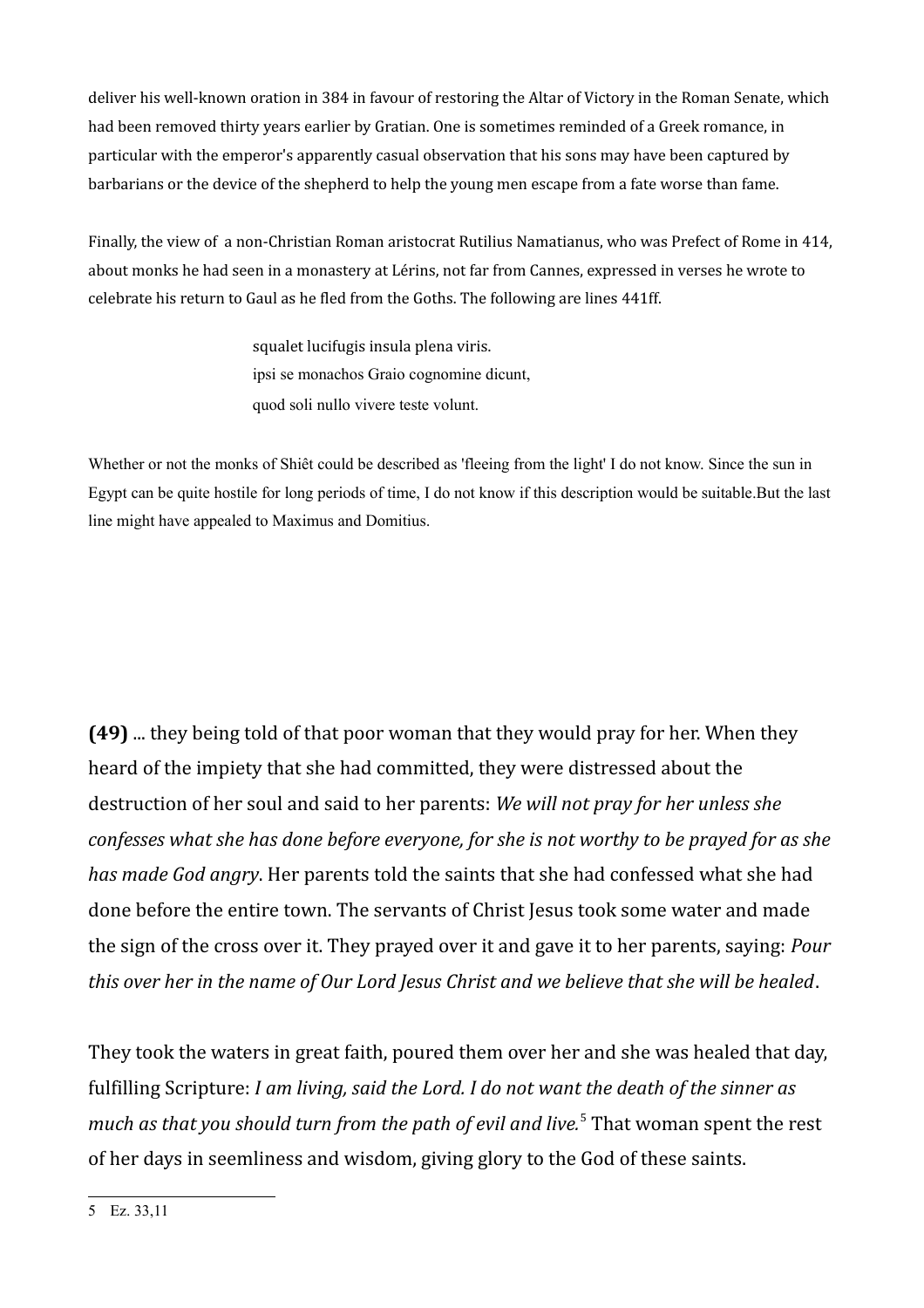deliver his well-known oration in 384 in favour of restoring the Altar of Victory in the Roman Senate, which had been removed thirty years earlier by Gratian. One is sometimes reminded of a Greek romance, in particular with the emperor's apparently casual observation that his sons may have been captured by barbarians or the device of the shepherd to help the young men escape from a fate worse than fame.

Finally, the view of a non-Christian Roman aristocrat Rutilius Namatianus, who was Prefect of Rome in 414, about monks he had seen in a monastery at Lérins, not far from Cannes, expressed in verses he wrote to celebrate his return to Gaul as he fled from the Goths. The following are lines 441ff.

> squalet lucifugis insula plena viris. ipsi se monachos Graio cognomine dicunt, quod soli nullo vivere teste volunt.

Whether or not the monks of Shiêt could be described as 'fleeing from the light' I do not know. Since the sun in Egypt can be quite hostile for long periods of time, I do not know if this description would be suitable.But the last line might have appealed to Maximus and Domitius.

**(49)** ... they being told of that poor woman that they would pray for her. When they heard of the impiety that she had committed, they were distressed about the destruction of her soul and said to her parents: *We will not pray for her unless she confesses what she has done before everyone, for she is not worthy to be prayed for as she has made God angry*. Her parents told the saints that she had confessed what she had done before the entire town. The servants of Christ Jesus took some water and made the sign of the cross over it. They prayed over it and gave it to her parents, saying: *Pour this over her in the name of Our Lord Jesus Christ and we believe that she will be healed*.

They took the waters in great faith, poured them over her and she was healed that day, fulfilling Scripture: *I am living, said the Lord. I do not want the death of the sinner as*  much as that you should turn from the path of evil and live.<sup>[5](#page-1-0)</sup> That woman spent the rest of her days in seemliness and wisdom, giving glory to the God of these saints.

<span id="page-1-0"></span>5 Ez. 33,11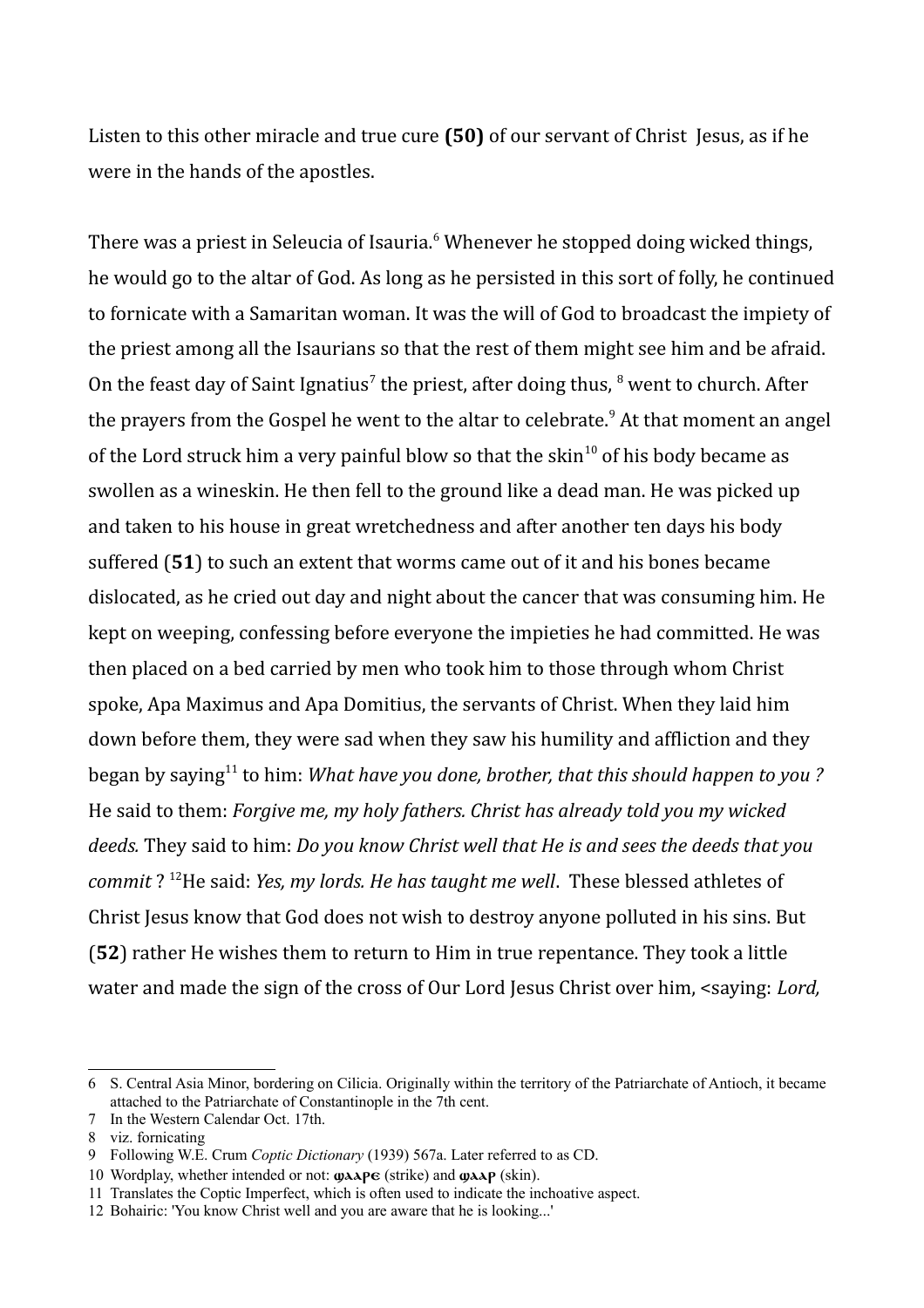Listen to this other miracle and true cure **(50)** of our servant of Christ Jesus, as if he were in the hands of the apostles.

There was a priest in Seleucia of Isauria.<sup>[6](#page-2-0)</sup> Whenever he stopped doing wicked things, he would go to the altar of God. As long as he persisted in this sort of folly, he continued to fornicate with a Samaritan woman. It was the will of God to broadcast the impiety of the priest among all the Isaurians so that the rest of them might see him and be afraid. On the feast day of Saint Ignatius<sup>[7](#page-2-1)</sup> the priest, after doing thus,  $8$  went to church. After the prayers from the Gospel he went to the altar to celebrate.<sup>[9](#page-2-3)</sup> At that moment an angel of the Lord struck him a very painful blow so that the skin<sup>[10](#page-2-4)</sup> of his body became as swollen as a wineskin. He then fell to the ground like a dead man. He was picked up and taken to his house in great wretchedness and after another ten days his body suffered (**51**) to such an extent that worms came out of it and his bones became dislocated, as he cried out day and night about the cancer that was consuming him. He kept on weeping, confessing before everyone the impieties he had committed. He was then placed on a bed carried by men who took him to those through whom Christ spoke, Apa Maximus and Apa Domitius, the servants of Christ. When they laid him down before them, they were sad when they saw his humility and affliction and they began by saying<sup>[11](#page-2-5)</sup> to him: *What have you done, brother, that this should happen to you?* He said to them: *Forgive me, my holy fathers. Christ has already told you my wicked deeds.* They said to him: *Do you know Christ well that He is and sees the deeds that you commit* ? [12](#page-2-6)He said: *Yes, my lords. He has taught me well*. These blessed athletes of Christ Jesus know that God does not wish to destroy anyone polluted in his sins. But (**52**) rather He wishes them to return to Him in true repentance. They took a little water and made the sign of the cross of Our Lord Jesus Christ over him, <saying: *Lord,* 

<span id="page-2-0"></span><sup>6</sup> S. Central Asia Minor, bordering on Cilicia. Originally within the territory of the Patriarchate of Antioch, it became attached to the Patriarchate of Constantinople in the 7th cent.

<span id="page-2-1"></span><sup>7</sup> In the Western Calendar Oct. 17th.

<span id="page-2-2"></span><sup>8</sup> viz. fornicating

<span id="page-2-3"></span><sup>9</sup> Following W.E. Crum *Coptic Dictionary* (1939) 567a. Later referred to as CD.

<span id="page-2-4"></span><sup>10</sup> Wordplay, whether intended or not:  $\mathbf{Q} \mathbf{A} \mathbf{A} \mathbf{P} \mathbf{C}$  (strike) and  $\mathbf{Q} \mathbf{A} \mathbf{A} \mathbf{P}$  (skin).

<span id="page-2-5"></span><sup>11</sup> Translates the Coptic Imperfect, which is often used to indicate the inchoative aspect.

<span id="page-2-6"></span><sup>12</sup> Bohairic: 'You know Christ well and you are aware that he is looking...'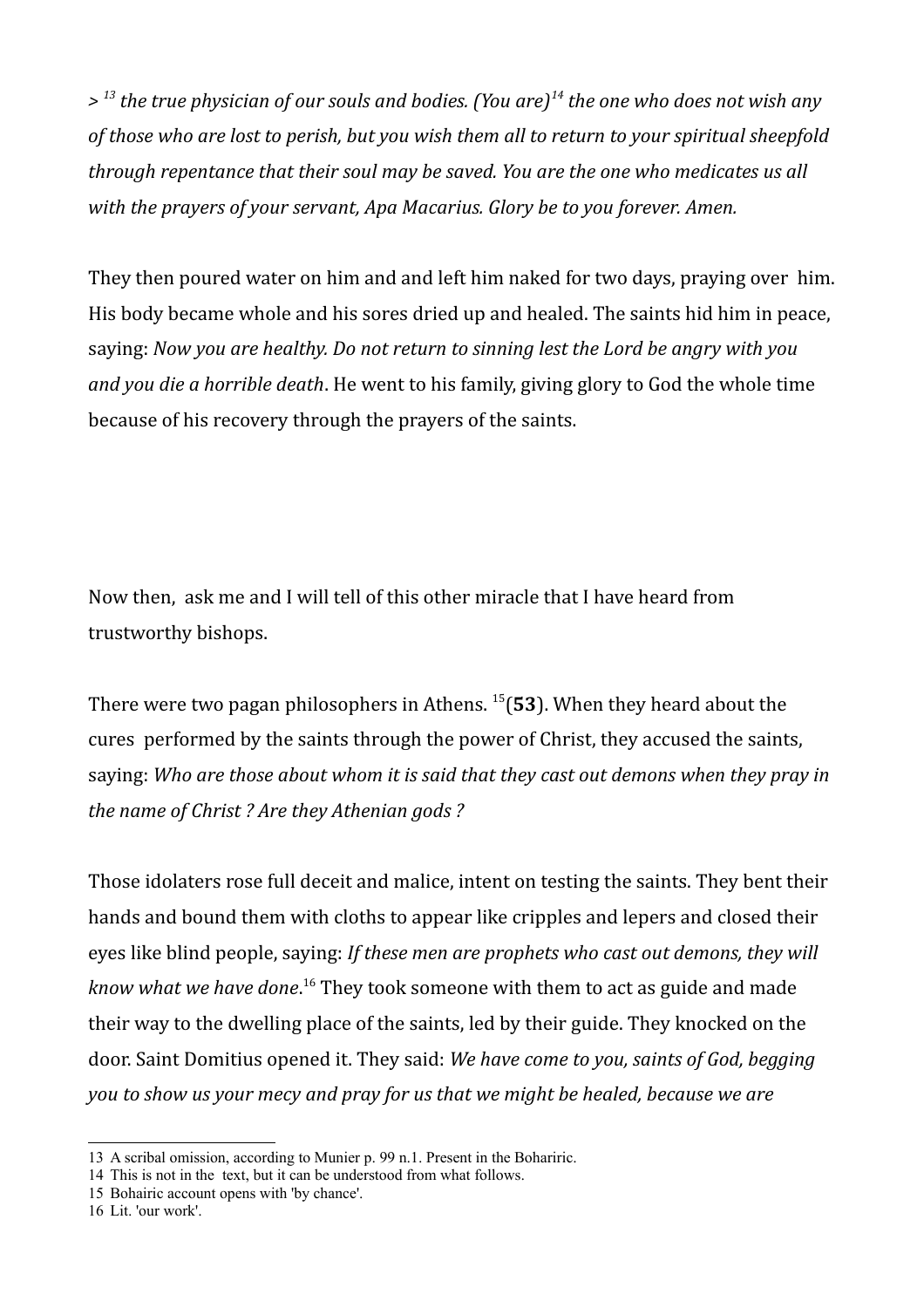*> [13](#page-3-0) the true physician of our souls and bodies. (You are)[14](#page-3-1) the one who does not wish any of those who are lost to perish, but you wish them all to return to your spiritual sheepfold through repentance that their soul may be saved. You are the one who medicates us all with the prayers of your servant, Apa Macarius. Glory be to you forever. Amen.*

They then poured water on him and and left him naked for two days, praying over him. His body became whole and his sores dried up and healed. The saints hid him in peace, saying: *Now you are healthy. Do not return to sinning lest the Lord be angry with you and you die a horrible death*. He went to his family, giving glory to God the whole time because of his recovery through the prayers of the saints.

Now then, ask me and I will tell of this other miracle that I have heard from trustworthy bishops.

There were two pagan philosophers in Athens. [15](#page-3-2)(**53**). When they heard about the cures performed by the saints through the power of Christ, they accused the saints, saying: *Who are those about whom it is said that they cast out demons when they pray in the name of Christ ? Are they Athenian gods ?*

Those idolaters rose full deceit and malice, intent on testing the saints. They bent their hands and bound them with cloths to appear like cripples and lepers and closed their eyes like blind people, saying: *If these men are prophets who cast out demons, they will know what we have done*. [16](#page-3-3) They took someone with them to act as guide and made their way to the dwelling place of the saints, led by their guide. They knocked on the door. Saint Domitius opened it. They said: *We have come to you, saints of God, begging you to show us your mecy and pray for us that we might be healed, because we are* 

<span id="page-3-0"></span><sup>13</sup> A scribal omission, according to Munier p. 99 n.1. Present in the Bohariric.

<span id="page-3-1"></span><sup>14</sup> This is not in the text, but it can be understood from what follows.

<span id="page-3-2"></span><sup>15</sup> Bohairic account opens with 'by chance'.

<span id="page-3-3"></span><sup>16</sup> Lit. 'our work'.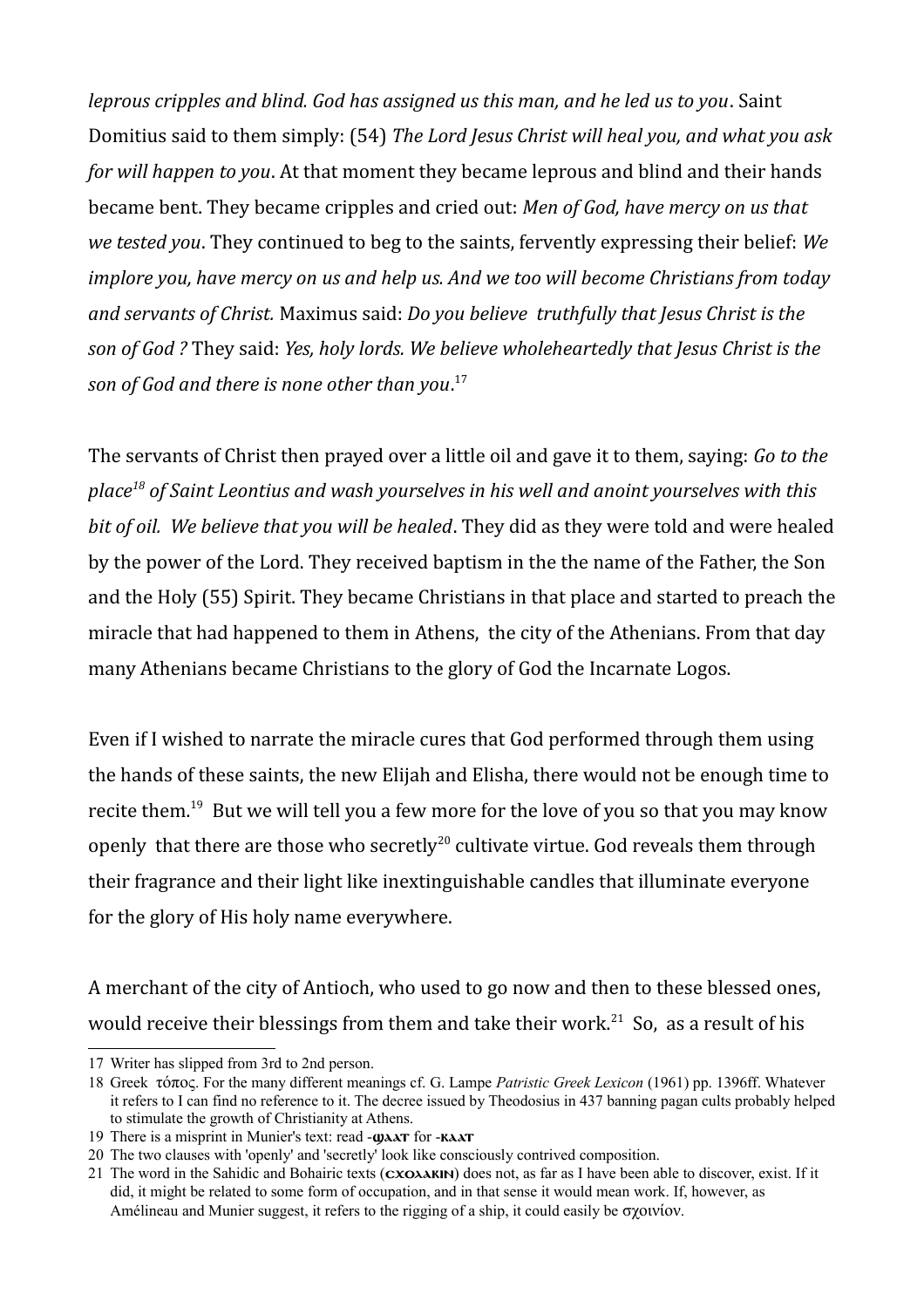*leprous cripples and blind. God has assigned us this man, and he led us to you*. Saint Domitius said to them simply: (54) *The Lord Jesus Christ will heal you, and what you ask for will happen to you*. At that moment they became leprous and blind and their hands became bent. They became cripples and cried out: *Men of God, have mercy on us that we tested you*. They continued to beg to the saints, fervently expressing their belief: *We implore you, have mercy on us and help us. And we too will become Christians from today and servants of Christ.* Maximus said: *Do you believe truthfully that Jesus Christ is the son of God ?* They said: *Yes, holy lords. We believe wholeheartedly that Jesus Christ is the son of God and there is none other than you*. [17](#page-4-0)

The servants of Christ then prayed over a little oil and gave it to them, saying: *Go to the place[18](#page-4-1) of Saint Leontius and wash yourselves in his well and anoint yourselves with this bit of oil. We believe that you will be healed*. They did as they were told and were healed by the power of the Lord. They received baptism in the the name of the Father, the Son and the Holy (55) Spirit. They became Christians in that place and started to preach the miracle that had happened to them in Athens, the city of the Athenians. From that day many Athenians became Christians to the glory of God the Incarnate Logos.

Even if I wished to narrate the miracle cures that God performed through them using the hands of these saints, the new Elijah and Elisha, there would not be enough time to recite them.<sup>[19](#page-4-2)</sup> But we will tell you a few more for the love of you so that you may know openly that there are those who secretly<sup>[20](#page-4-3)</sup> cultivate virtue. God reveals them through their fragrance and their light like inextinguishable candles that illuminate everyone for the glory of His holy name everywhere.

A merchant of the city of Antioch, who used to go now and then to these blessed ones, would receive their blessings from them and take their work.<sup>[21](#page-4-4)</sup> So, as a result of his

<span id="page-4-0"></span><sup>17</sup> Writer has slipped from 3rd to 2nd person.

<span id="page-4-1"></span><sup>18</sup> Greek τόπος. For the many different meanings cf. G. Lampe *Patristic Greek Lexicon* (1961) pp. 1396ff. Whatever it refers to I can find no reference to it. The decree issued by Theodosius in 437 banning pagan cults probably helped to stimulate the growth of Christianity at Athens.

<span id="page-4-2"></span><sup>19</sup> There is a misprint in Munier's text: read  $-\omega \lambda \lambda T$  for  $-\kappa \lambda \lambda T$ 

<span id="page-4-3"></span><sup>20</sup> The two clauses with 'openly' and 'secretly' look like consciously contrived composition.

<span id="page-4-4"></span><sup>21</sup> The word in the Sahidic and Bohairic texts  $(cxoxaxN)$  does not, as far as I have been able to discover, exist. If it did, it might be related to some form of occupation, and in that sense it would mean work. If, however, as Amélineau and Munier suggest, it refers to the rigging of a ship, it could easily be σχοινίον.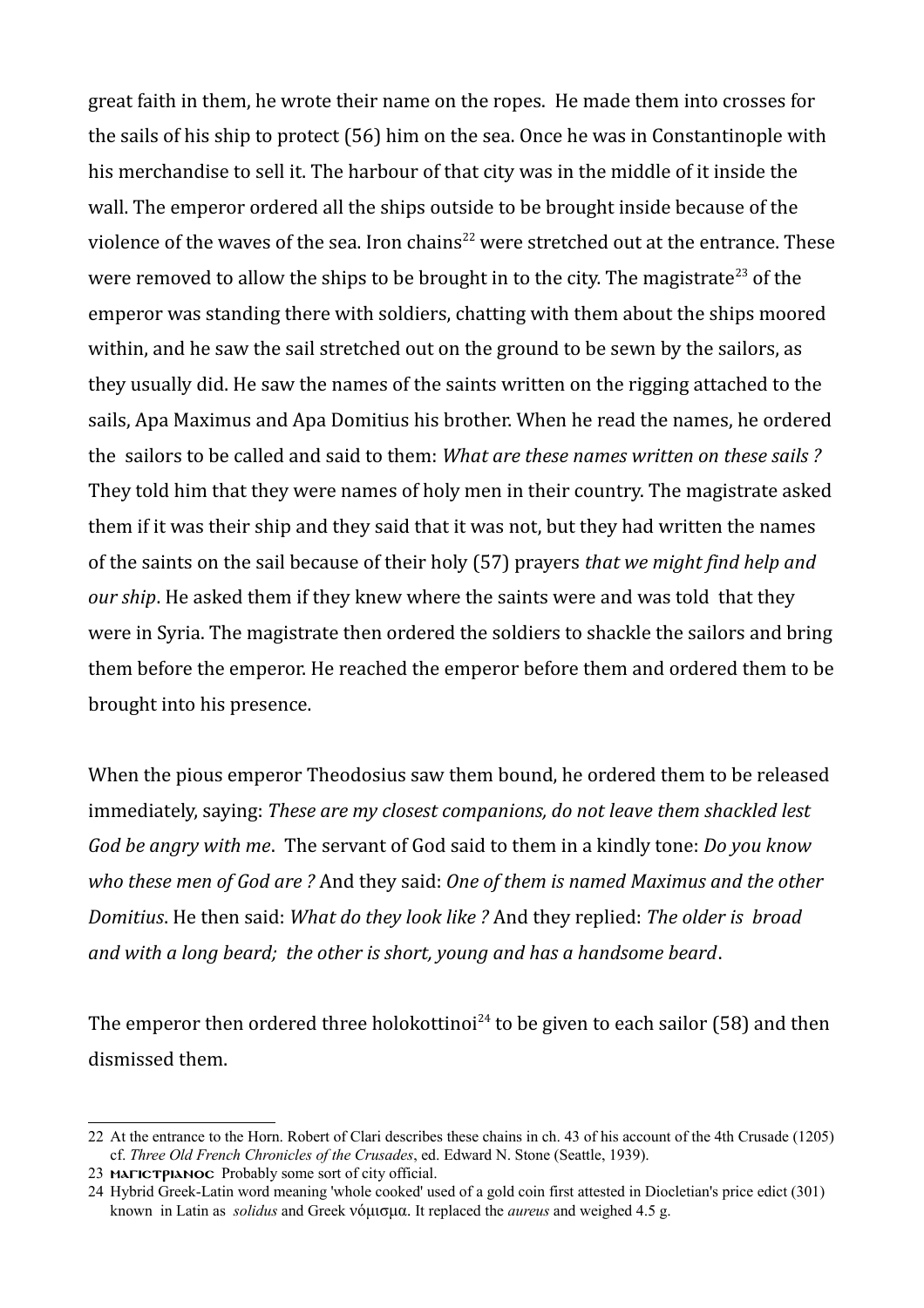great faith in them, he wrote their name on the ropes. He made them into crosses for the sails of his ship to protect (56) him on the sea. Once he was in Constantinople with his merchandise to sell it. The harbour of that city was in the middle of it inside the wall. The emperor ordered all the ships outside to be brought inside because of the violence of the waves of the sea. Iron chains<sup>[22](#page-5-0)</sup> were stretched out at the entrance. These were removed to allow the ships to be brought in to the city. The magistrate<sup>[23](#page-5-1)</sup> of the emperor was standing there with soldiers, chatting with them about the ships moored within, and he saw the sail stretched out on the ground to be sewn by the sailors, as they usually did. He saw the names of the saints written on the rigging attached to the sails, Apa Maximus and Apa Domitius his brother. When he read the names, he ordered the sailors to be called and said to them: *What are these names written on these sails ?* They told him that they were names of holy men in their country. The magistrate asked them if it was their ship and they said that it was not, but they had written the names of the saints on the sail because of their holy (57) prayers *that we might find help and our ship*. He asked them if they knew where the saints were and was told that they were in Syria. The magistrate then ordered the soldiers to shackle the sailors and bring them before the emperor. He reached the emperor before them and ordered them to be brought into his presence.

When the pious emperor Theodosius saw them bound, he ordered them to be released immediately, saying: *These are my closest companions, do not leave them shackled lest God be angry with me*. The servant of God said to them in a kindly tone: *Do you know who these men of God are ?* And they said: *One of them is named Maximus and the other Domitius*. He then said: *What do they look like ?* And they replied: *The older is broad and with a long beard; the other is short, young and has a handsome beard*.

The emperor then ordered three holokottinoi<sup>[24](#page-5-2)</sup> to be given to each sailor (58) and then dismissed them.

<span id="page-5-0"></span><sup>22</sup> At the entrance to the Horn. Robert of Clari describes these chains in ch. 43 of his account of the 4th Crusade (1205) cf. *Three Old French Chronicles of the Crusades*, ed. Edward N. Stone (Seattle, 1939).

<span id="page-5-1"></span><sup>23</sup> MATICTPIANOC Probably some sort of city official.

<span id="page-5-2"></span><sup>24</sup> Hybrid Greek-Latin word meaning 'whole cooked' used of a gold coin first attested in Diocletian's price edict (301) known in Latin as *solidus* and Greek νόμισμα. It replaced the *aureus* and weighed 4.5 g.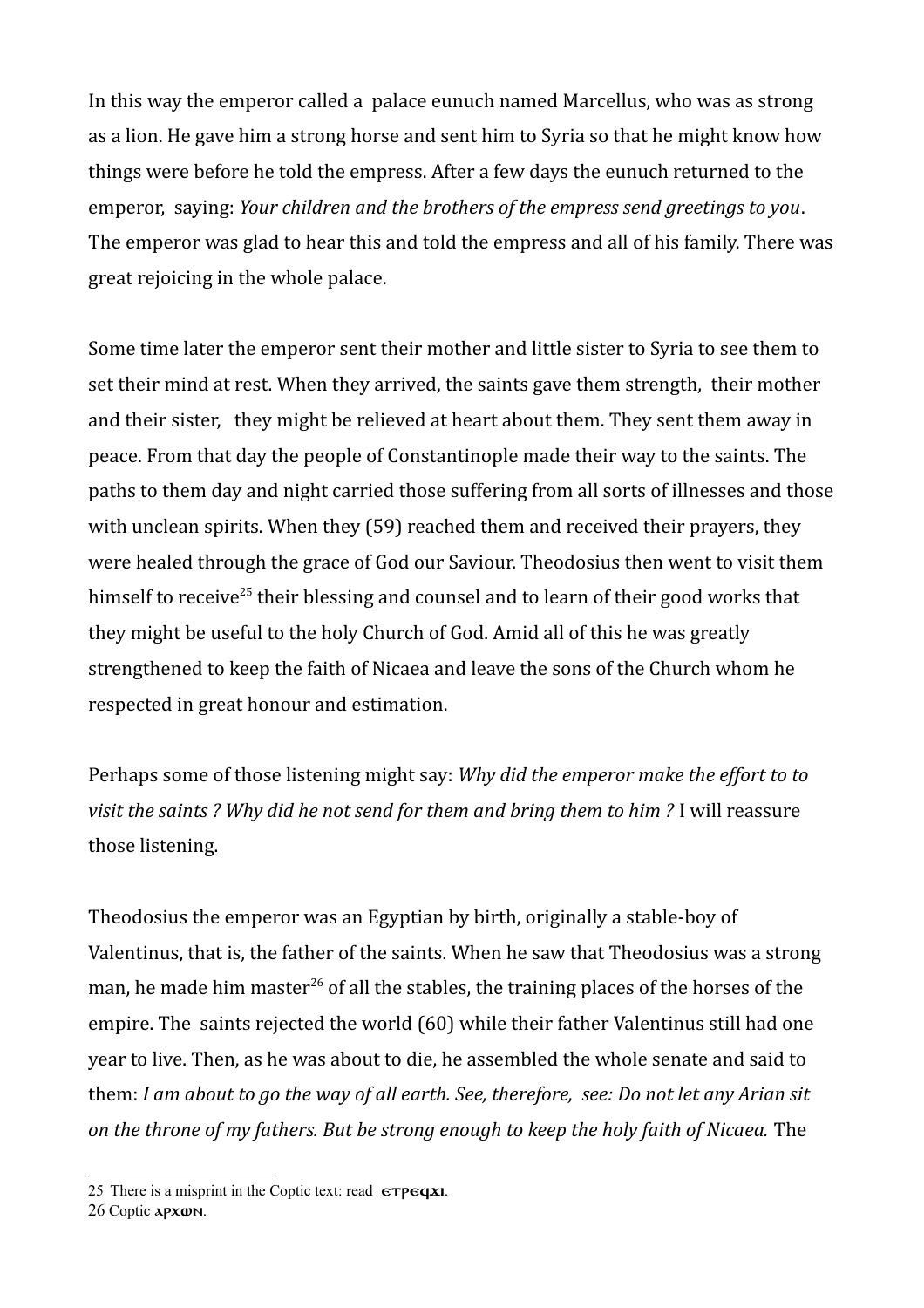In this way the emperor called a palace eunuch named Marcellus, who was as strong as a lion. He gave him a strong horse and sent him to Syria so that he might know how things were before he told the empress. After a few days the eunuch returned to the emperor, saying: *Your children and the brothers of the empress send greetings to you*. The emperor was glad to hear this and told the empress and all of his family. There was great rejoicing in the whole palace.

Some time later the emperor sent their mother and little sister to Syria to see them to set their mind at rest. When they arrived, the saints gave them strength, their mother and their sister, they might be relieved at heart about them. They sent them away in peace. From that day the people of Constantinople made their way to the saints. The paths to them day and night carried those suffering from all sorts of illnesses and those with unclean spirits. When they (59) reached them and received their prayers, they were healed through the grace of God our Saviour. Theodosius then went to visit them himself to receive<sup>[25](#page-6-0)</sup> their blessing and counsel and to learn of their good works that they might be useful to the holy Church of God. Amid all of this he was greatly strengthened to keep the faith of Nicaea and leave the sons of the Church whom he respected in great honour and estimation.

Perhaps some of those listening might say: *Why did the emperor make the effort to to visit the saints ? Why did he not send for them and bring them to him ?* I will reassure those listening.

Theodosius the emperor was an Egyptian by birth, originally a stable-boy of Valentinus, that is, the father of the saints. When he saw that Theodosius was a strong man, he made him master<sup>[26](#page-6-1)</sup> of all the stables, the training places of the horses of the empire. The saints rejected the world (60) while their father Valentinus still had one year to live. Then, as he was about to die, he assembled the whole senate and said to them: *I am about to go the way of all earth. See, therefore, see: Do not let any Arian sit on the throne of my fathers. But be strong enough to keep the holy faith of Nicaea.* The

<span id="page-6-0"></span><sup>25</sup> There is a misprint in the Coptic text: read  $\epsilon$ TP $\epsilon$ qxi.

<span id="page-6-1"></span><sup>26</sup> Coptic apxwn.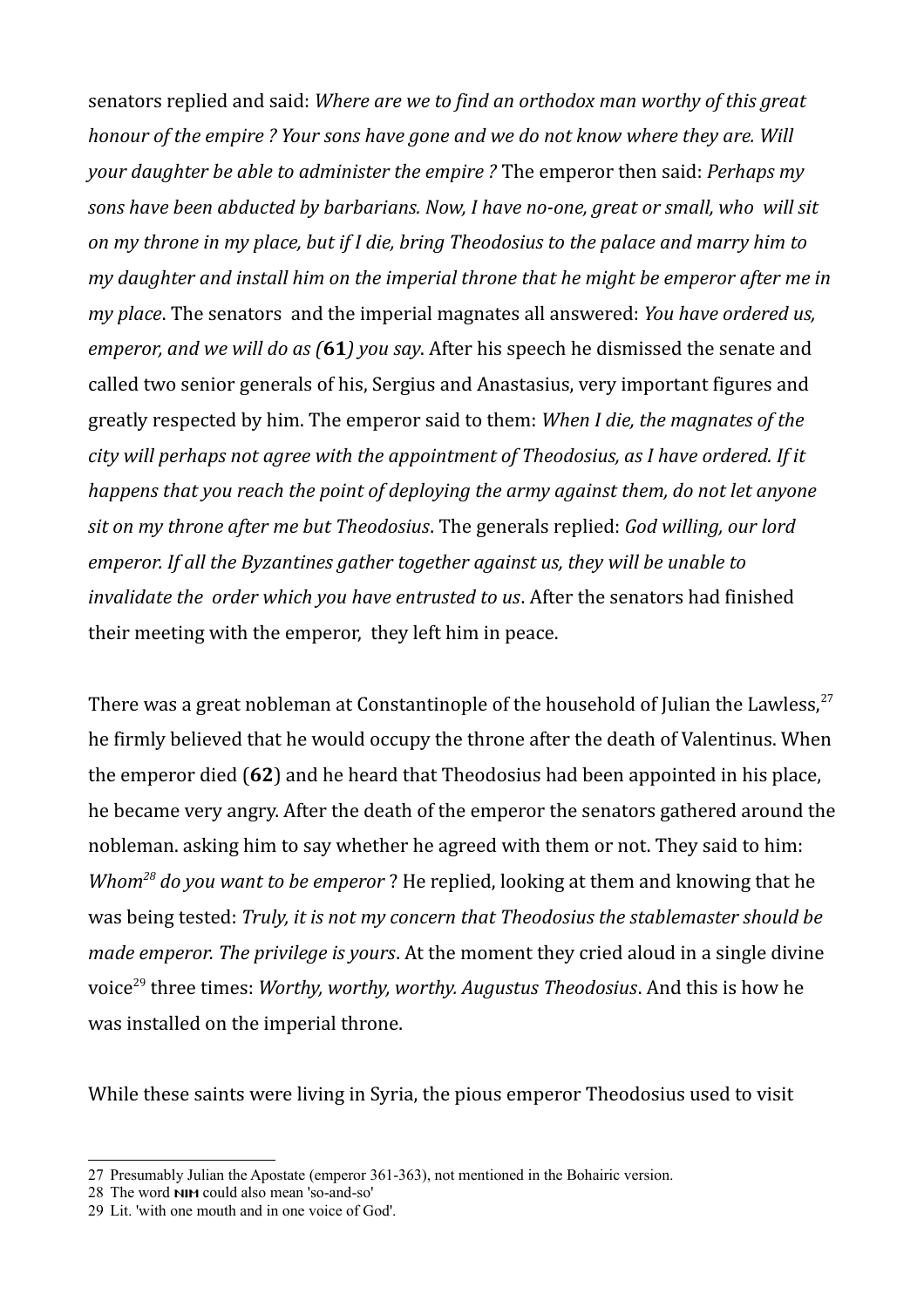senators replied and said: *Where are we to find an orthodox man worthy of this great honour of the empire ? Your sons have gone and we do not know where they are. Will your daughter be able to administer the empire ?* The emperor then said: *Perhaps my sons have been abducted by barbarians. Now, I have no-one, great or small, who will sit on my throne in my place, but if I die, bring Theodosius to the palace and marry him to my daughter and install him on the imperial throne that he might be emperor after me in my place*. The senators and the imperial magnates all answered: *You have ordered us, emperor, and we will do as (***61***) you say*. After his speech he dismissed the senate and called two senior generals of his, Sergius and Anastasius, very important figures and greatly respected by him. The emperor said to them: *When I die, the magnates of the city will perhaps not agree with the appointment of Theodosius, as I have ordered. If it happens that you reach the point of deploying the army against them, do not let anyone sit on my throne after me but Theodosius*. The generals replied: *God willing, our lord emperor. If all the Byzantines gather together against us, they will be unable to invalidate the order which you have entrusted to us*. After the senators had finished their meeting with the emperor, they left him in peace.

There was a great nobleman at Constantinople of the household of Julian the Lawless,  $27$ he firmly believed that he would occupy the throne after the death of Valentinus. When the emperor died (**62**) and he heard that Theodosius had been appointed in his place, he became very angry. After the death of the emperor the senators gathered around the nobleman. asking him to say whether he agreed with them or not. They said to him: *Whom[28](#page-7-1) do you want to be emperor* ? He replied, looking at them and knowing that he was being tested: *Truly, it is not my concern that Theodosius the stablemaster should be made emperor. The privilege is yours*. At the moment they cried aloud in a single divine voice[29](#page-7-2) three times: *Worthy, worthy, worthy. Augustus Theodosius*. And this is how he was installed on the imperial throne.

While these saints were living in Syria, the pious emperor Theodosius used to visit

<span id="page-7-0"></span><sup>27</sup> Presumably Julian the Apostate (emperor 361-363), not mentioned in the Bohairic version.

<span id="page-7-1"></span><sup>28</sup> The word nim could also mean 'so-and-so'

<span id="page-7-2"></span><sup>29</sup> Lit. 'with one mouth and in one voice of God'.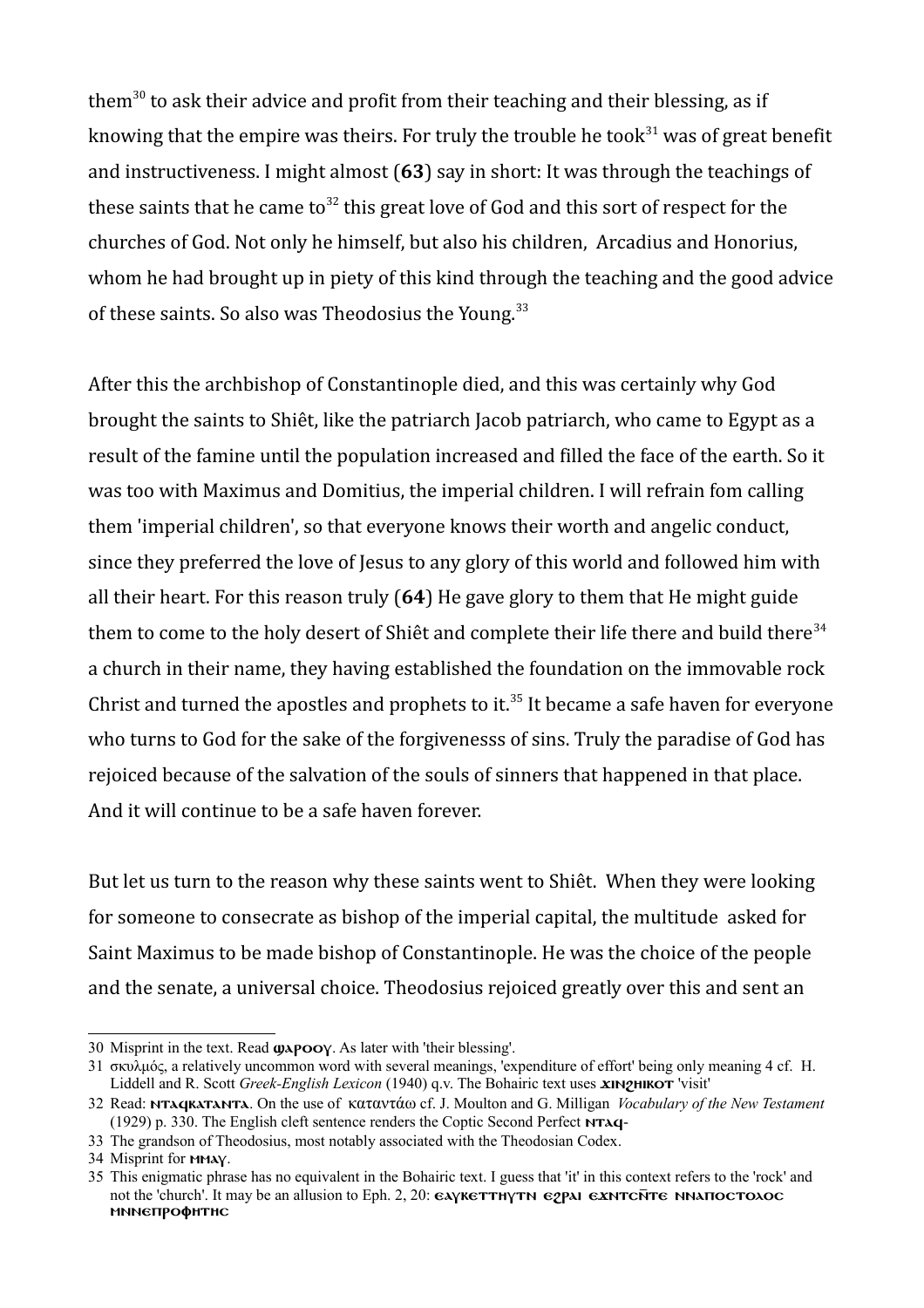them<sup>[30](#page-8-0)</sup> to ask their advice and profit from their teaching and their blessing, as if knowing that the empire was theirs. For truly the trouble he took<sup>[31](#page-8-1)</sup> was of great benefit and instructiveness. I might almost (**63**) say in short: It was through the teachings of these saints that he came to<sup>[32](#page-8-2)</sup> this great love of God and this sort of respect for the churches of God. Not only he himself, but also his children, Arcadius and Honorius, whom he had brought up in piety of this kind through the teaching and the good advice of these saints. So also was Theodosius the Young.<sup>[33](#page-8-3)</sup>

After this the archbishop of Constantinople died, and this was certainly why God brought the saints to Shiêt, like the patriarch Jacob patriarch, who came to Egypt as a result of the famine until the population increased and filled the face of the earth. So it was too with Maximus and Domitius, the imperial children. I will refrain fom calling them 'imperial children', so that everyone knows their worth and angelic conduct, since they preferred the love of Jesus to any glory of this world and followed him with all their heart. For this reason truly (**64**) He gave glory to them that He might guide them to come to the holy desert of Shiêt and complete their life there and build there<sup>[34](#page-8-4)</sup> a church in their name, they having established the foundation on the immovable rock Christ and turned the apostles and prophets to it.<sup>[35](#page-8-5)</sup> It became a safe haven for everyone who turns to God for the sake of the forgivenesss of sins. Truly the paradise of God has rejoiced because of the salvation of the souls of sinners that happened in that place. And it will continue to be a safe haven forever.

But let us turn to the reason why these saints went to Shiêt. When they were looking for someone to consecrate as bishop of the imperial capital, the multitude asked for Saint Maximus to be made bishop of Constantinople. He was the choice of the people and the senate, a universal choice. Theodosius rejoiced greatly over this and sent an

<span id="page-8-0"></span><sup>30</sup> Misprint in the text. Read  $\boldsymbol{\omega}$  $\boldsymbol{\rho}$  $\boldsymbol{\omega}$ . As later with 'their blessing'.

<span id="page-8-1"></span><sup>31</sup> σκυλμός, a relatively uncommon word with several meanings, 'expenditure of effort' being only meaning 4 cf. H. Liddell and R. Scott *Greek-English Lexicon* (1940) q.v. The Bohairic text uses **XIN2HIKOT** 'visit'

<span id="page-8-2"></span><sup>32</sup> Read: ntafkatanta. On the use of καταντάω cf. J. Moulton and G. Milligan *Vocabulary of the New Testament* (1929) p. 330. The English cleft sentence renders the Coptic Second Perfect NTAq-

<span id="page-8-3"></span><sup>33</sup> The grandson of Theodosius, most notably associated with the Theodosian Codex.

<span id="page-8-4"></span><sup>34</sup> Misprint for MMAY.

<span id="page-8-5"></span><sup>35</sup> This enigmatic phrase has no equivalent in the Bohairic text. I guess that 'it' in this context refers to the 'rock' and not the 'church'. It may be an allusion to Eph. 2, 20:  $\epsilon x$   $\epsilon x$ TH $\gamma$ TH $\epsilon y$   $\epsilon x$ NTCNTE NNATIOCTO $\lambda$ OC mnnettpoohthc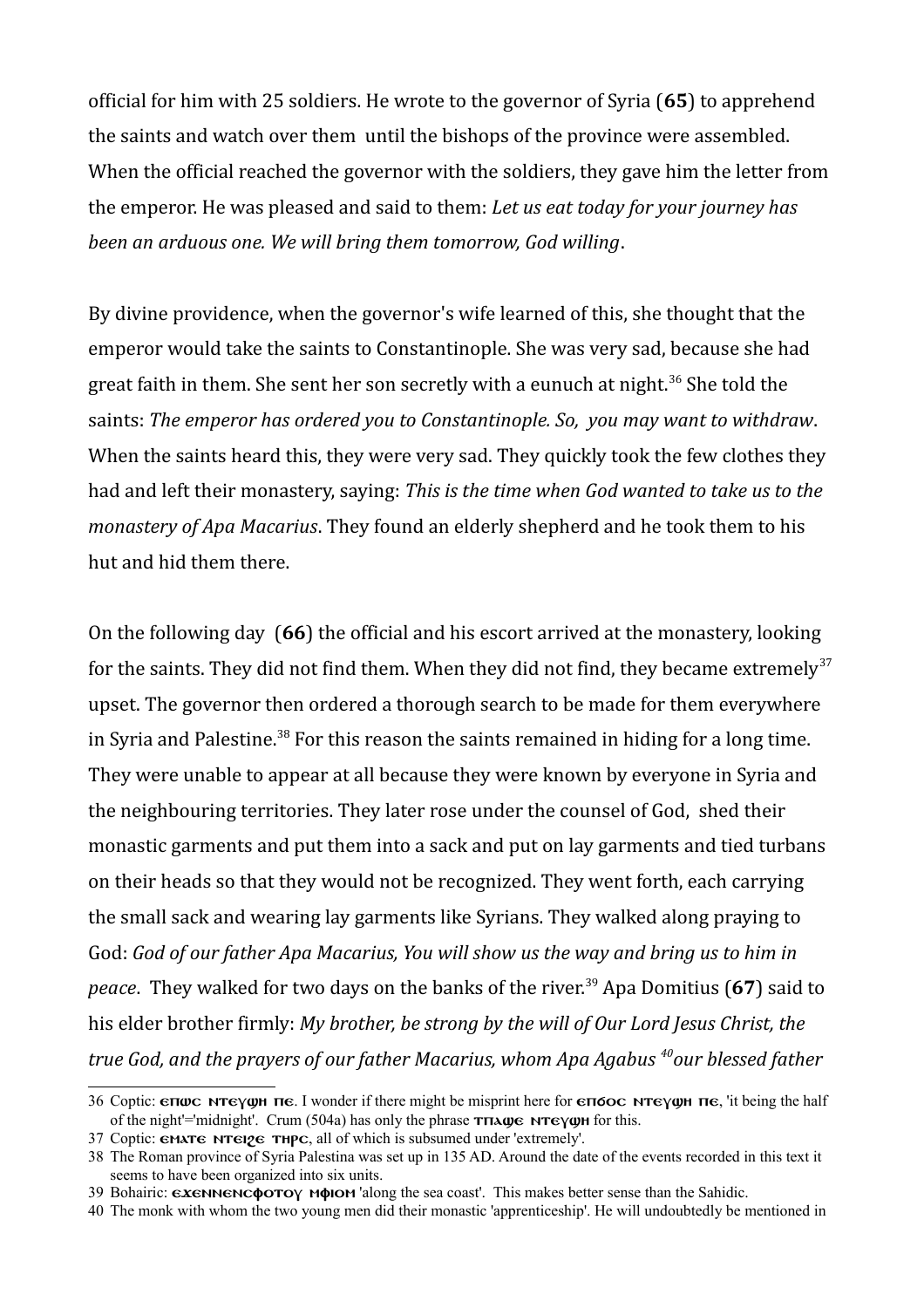official for him with 25 soldiers. He wrote to the governor of Syria (**65**) to apprehend the saints and watch over them until the bishops of the province were assembled. When the official reached the governor with the soldiers, they gave him the letter from the emperor. He was pleased and said to them: *Let us eat today for your journey has been an arduous one. We will bring them tomorrow, God willing*.

By divine providence, when the governor's wife learned of this, she thought that the emperor would take the saints to Constantinople. She was very sad, because she had great faith in them. She sent her son secretly with a eunuch at night.<sup>[36](#page-9-0)</sup> She told the saints: *The emperor has ordered you to Constantinople. So, you may want to withdraw*. When the saints heard this, they were very sad. They quickly took the few clothes they had and left their monastery, saying: *This is the time when God wanted to take us to the monastery of Apa Macarius*. They found an elderly shepherd and he took them to his hut and hid them there.

On the following day (**66**) the official and his escort arrived at the monastery, looking for the saints. They did not find them. When they did not find, they became extremely<sup>[37](#page-9-1)</sup> upset. The governor then ordered a thorough search to be made for them everywhere in Syria and Palestine.<sup>[38](#page-9-2)</sup> For this reason the saints remained in hiding for a long time. They were unable to appear at all because they were known by everyone in Syria and the neighbouring territories. They later rose under the counsel of God, shed their monastic garments and put them into a sack and put on lay garments and tied turbans on their heads so that they would not be recognized. They went forth, each carrying the small sack and wearing lay garments like Syrians. They walked along praying to God: *God of our father Apa Macarius, You will show us the way and bring us to him in peace*. They walked for two days on the banks of the river.<sup>[39](#page-9-3)</sup> Apa Domitius (67) said to his elder brother firmly: *My brother, be strong by the will of Our Lord Jesus Christ, the true God, and the prayers of our father Macarius, whom Apa Agabus [40](#page-9-4)our blessed father* 

<span id="page-9-0"></span><sup>36</sup> Coptic:  $\epsilon$   $\pi \omega$   $\epsilon$   $\gamma \omega$   $\pi$   $\epsilon$ . I wonder if there might be misprint here for  $\epsilon$  $\pi \sigma$  $\alpha$   $\epsilon$   $\gamma \omega$  $\pi$   $\epsilon$ , 'it being the half of the night'='midnight'. Crum (504a) has only the phrase  $\tau \pi \lambda \omega \epsilon$  New for this.

<span id="page-9-1"></span><sup>37</sup> Coptic:  $\epsilon$ MAT $\epsilon$  NT $\epsilon$ <sub>12</sub> $\epsilon$  THP $\epsilon$ , all of which is subsumed under 'extremely'.

<span id="page-9-2"></span><sup>38</sup> The Roman province of Syria Palestina was set up in 135 AD. Around the date of the events recorded in this text it seems to have been organized into six units.

<span id="page-9-3"></span><sup>39</sup> Bohairic:  $\epsilon x \epsilon N$ Nencotou muito along the sea coast'. This makes better sense than the Sahidic.

<span id="page-9-4"></span><sup>40</sup> The monk with whom the two young men did their monastic 'apprenticeship'. He will undoubtedly be mentioned in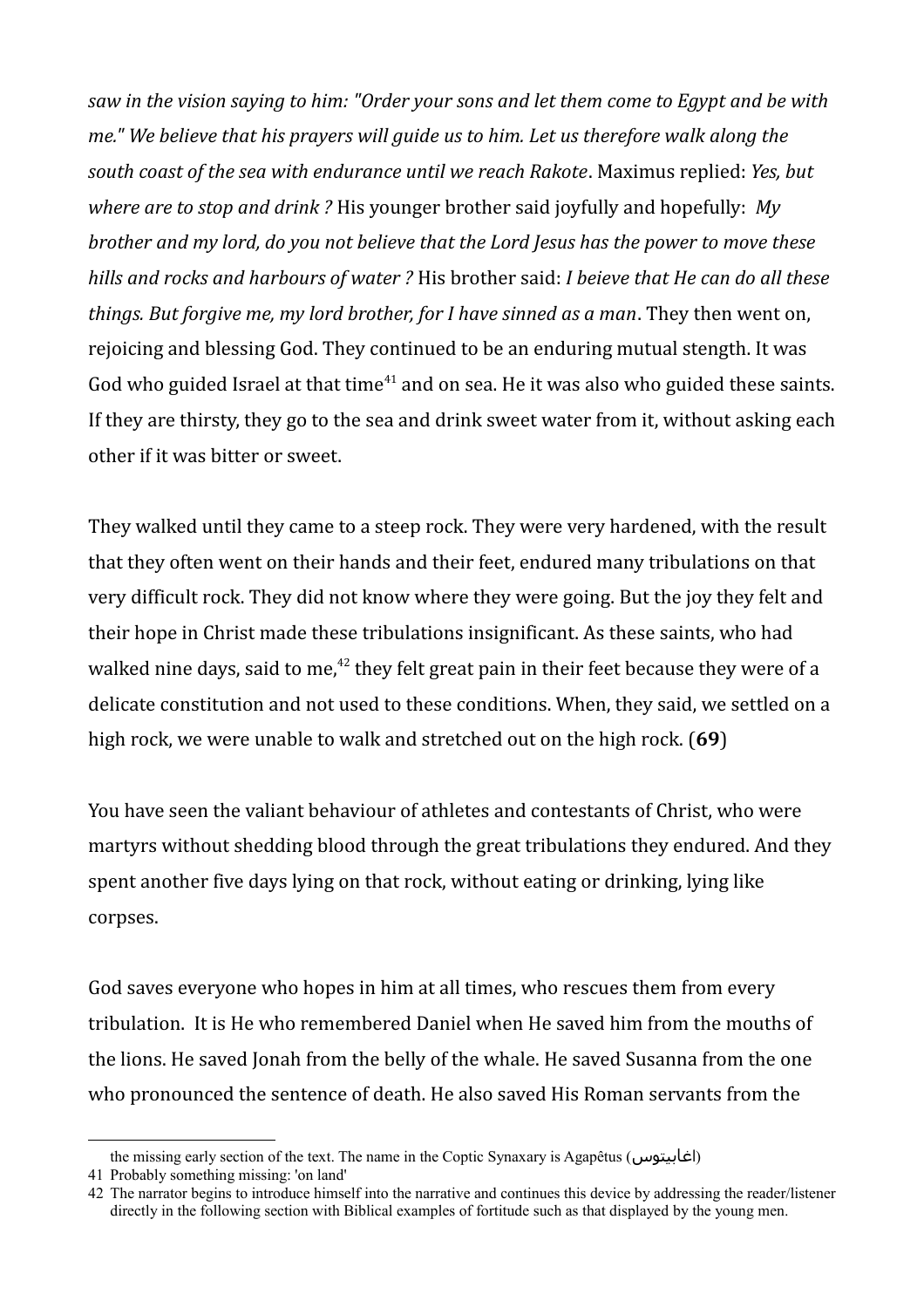*saw in the vision saying to him: "Order your sons and let them come to Egypt and be with me." We believe that his prayers will guide us to him. Let us therefore walk along the south coast of the sea with endurance until we reach Rakote*. Maximus replied: *Yes, but where are to stop and drink ?* His younger brother said joyfully and hopefully: *My brother and my lord, do you not believe that the Lord Jesus has the power to move these hills and rocks and harbours of water ?* His brother said: *I beieve that He can do all these things. But forgive me, my lord brother, for I have sinned as a man*. They then went on, rejoicing and blessing God. They continued to be an enduring mutual stength. It was God who guided Israel at that time<sup>[41](#page-10-0)</sup> and on sea. He it was also who guided these saints. If they are thirsty, they go to the sea and drink sweet water from it, without asking each other if it was bitter or sweet.

They walked until they came to a steep rock. They were very hardened, with the result that they often went on their hands and their feet, endured many tribulations on that very difficult rock. They did not know where they were going. But the joy they felt and their hope in Christ made these tribulations insignificant. As these saints, who had walked nine days, said to me, $^{42}$  $^{42}$  $^{42}$  they felt great pain in their feet because they were of a delicate constitution and not used to these conditions. When, they said, we settled on a high rock, we were unable to walk and stretched out on the high rock. (**69**)

You have seen the valiant behaviour of athletes and contestants of Christ, who were martyrs without shedding blood through the great tribulations they endured. And they spent another five days lying on that rock, without eating or drinking, lying like corpses.

God saves everyone who hopes in him at all times, who rescues them from every tribulation. It is He who remembered Daniel when He saved him from the mouths of the lions. He saved Jonah from the belly of the whale. He saved Susanna from the one who pronounced the sentence of death. He also saved His Roman servants from the

the missing early section of the text. The name in the Coptic Synaxary is Agapêtus (اغابيتوس(

<span id="page-10-0"></span><sup>41</sup> Probably something missing: 'on land'

<span id="page-10-1"></span><sup>42</sup> The narrator begins to introduce himself into the narrative and continues this device by addressing the reader/listener directly in the following section with Biblical examples of fortitude such as that displayed by the young men.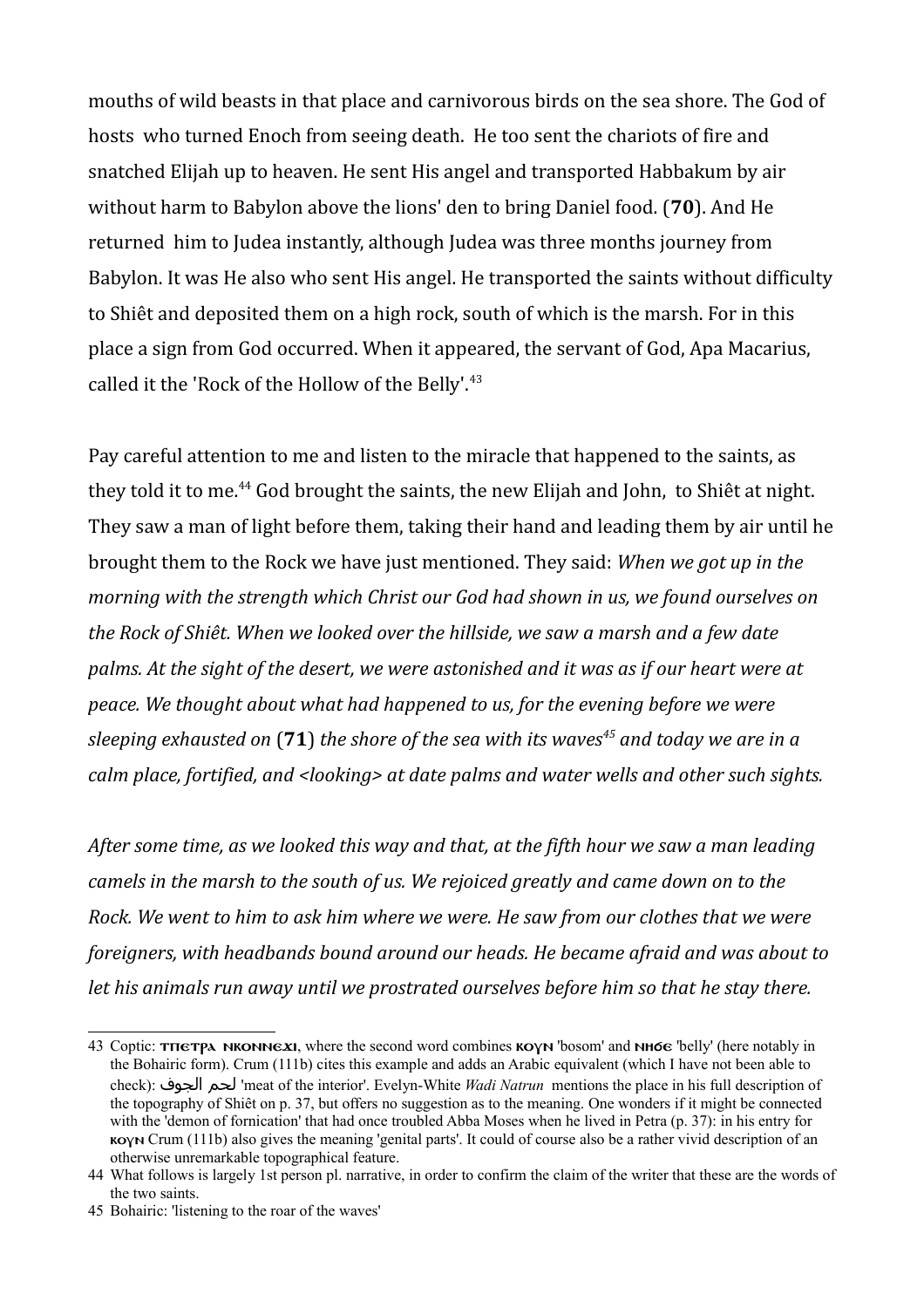mouths of wild beasts in that place and carnivorous birds on the sea shore. The God of hosts who turned Enoch from seeing death. He too sent the chariots of fire and snatched Elijah up to heaven. He sent His angel and transported Habbakum by air without harm to Babylon above the lions' den to bring Daniel food. (**70**). And He returned him to Judea instantly, although Judea was three months journey from Babylon. It was He also who sent His angel. He transported the saints without difficulty to Shiêt and deposited them on a high rock, south of which is the marsh. For in this place a sign from God occurred. When it appeared, the servant of God, Apa Macarius, called it the 'Rock of the Hollow of the Belly'.<sup>[43](#page-11-0)</sup>

Pay careful attention to me and listen to the miracle that happened to the saints, as they told it to me.<sup>[44](#page-11-1)</sup> God brought the saints, the new Elijah and John, to Shiêt at night. They saw a man of light before them, taking their hand and leading them by air until he brought them to the Rock we have just mentioned. They said: *When we got up in the morning with the strength which Christ our God had shown in us, we found ourselves on the Rock of Shiêt. When we looked over the hillside, we saw a marsh and a few date palms. At the sight of the desert, we were astonished and it was as if our heart were at peace. We thought about what had happened to us, for the evening before we were sleeping exhausted on* (**71**) *the shore of the sea with its waves[45](#page-11-2) and today we are in a calm place, fortified, and <looking> at date palms and water wells and other such sights.*

*After some time, as we looked this way and that, at the fifth hour we saw a man leading camels in the marsh to the south of us. We rejoiced greatly and came down on to the Rock. We went to him to ask him where we were. He saw from our clothes that we were foreigners, with headbands bound around our heads. He became afraid and was about to let his animals run away until we prostrated ourselves before him so that he stay there.* 

<span id="page-11-0"></span><sup>43</sup> Coptic: THETPA NKONNEXI, where the second word combines KOYN 'bosom' and NH6E 'belly' (here notably in the Bohairic form). Crum (111b) cites this example and adds an Arabic equivalent (which I have not been able to check): الجوف لحم' meat of the interior'. Evelyn-White *Wadi Natrun* mentions the place in his full description of the topography of Shiêt on p. 37, but offers no suggestion as to the meaning. One wonders if it might be connected with the 'demon of fornication' that had once troubled Abba Moses when he lived in Petra (p. 37): in his entry for koy Crum (111b) also gives the meaning 'genital parts'. It could of course also be a rather vivid description of an otherwise unremarkable topographical feature.

<span id="page-11-1"></span><sup>44</sup> What follows is largely 1st person pl. narrative, in order to confirm the claim of the writer that these are the words of the two saints.

<span id="page-11-2"></span><sup>45</sup> Bohairic: 'listening to the roar of the waves'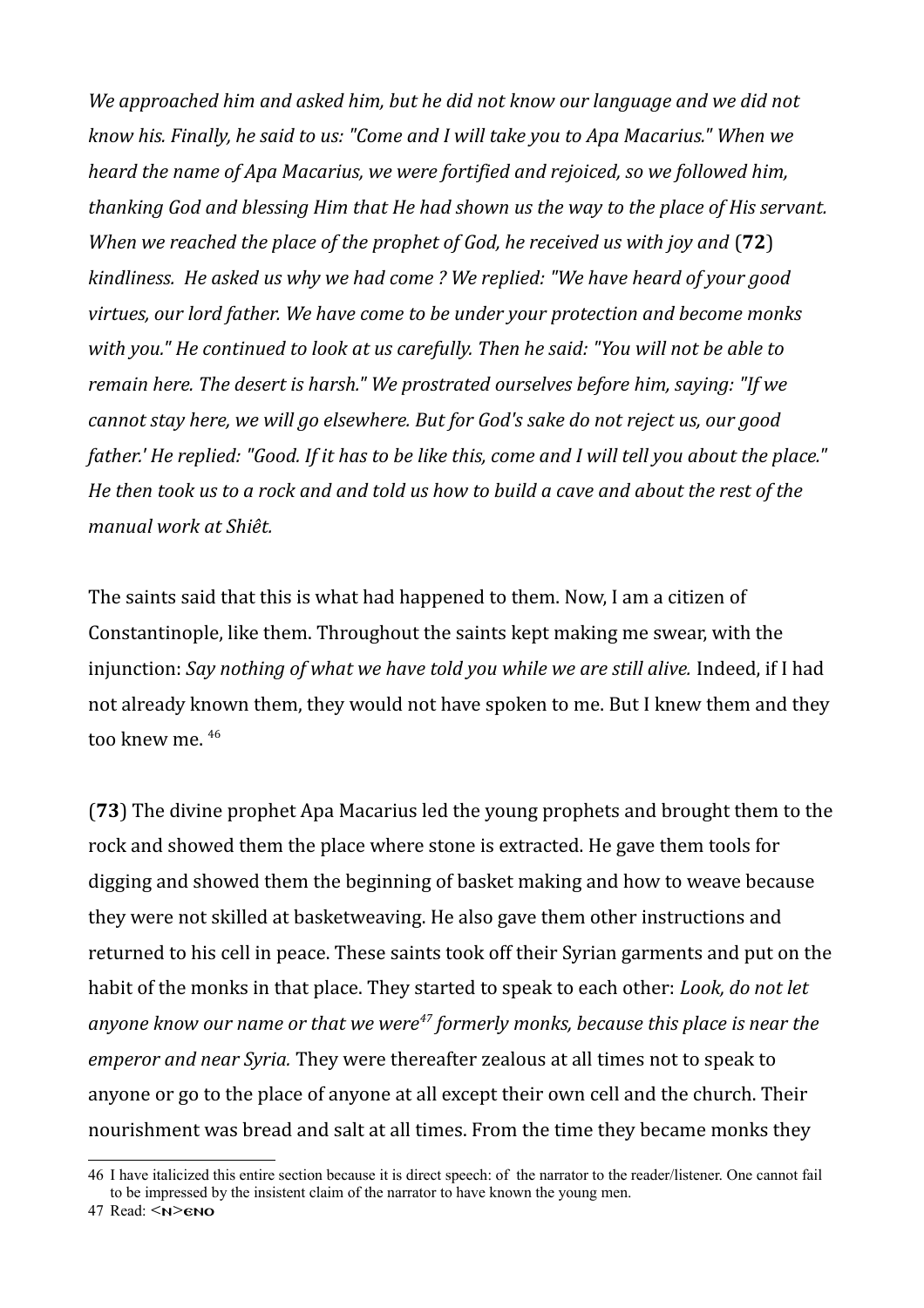*We approached him and asked him, but he did not know our language and we did not know his. Finally, he said to us: "Come and I will take you to Apa Macarius." When we heard the name of Apa Macarius, we were fortified and rejoiced, so we followed him, thanking God and blessing Him that He had shown us the way to the place of His servant. When we reached the place of the prophet of God, he received us with joy and* (**72**) *kindliness. He asked us why we had come ? We replied: "We have heard of your good virtues, our lord father. We have come to be under your protection and become monks with you." He continued to look at us carefully. Then he said: "You will not be able to remain here. The desert is harsh." We prostrated ourselves before him, saying: "If we cannot stay here, we will go elsewhere. But for God's sake do not reject us, our good father.' He replied: "Good. If it has to be like this, come and I will tell you about the place." He then took us to a rock and and told us how to build a cave and about the rest of the manual work at Shiêt.*

The saints said that this is what had happened to them. Now, I am a citizen of Constantinople, like them. Throughout the saints kept making me swear, with the injunction: Say nothing of what we have told you while we are still alive. Indeed, if I had not already known them, they would not have spoken to me. But I knew them and they too knew me.<sup>[46](#page-12-0)</sup>

(**73**) The divine prophet Apa Macarius led the young prophets and brought them to the rock and showed them the place where stone is extracted. He gave them tools for digging and showed them the beginning of basket making and how to weave because they were not skilled at basketweaving. He also gave them other instructions and returned to his cell in peace. These saints took off their Syrian garments and put on the habit of the monks in that place. They started to speak to each other: *Look, do not let anyone know our name or that we were[47](#page-12-1) formerly monks, because this place is near the emperor and near Syria.* They were thereafter zealous at all times not to speak to anyone or go to the place of anyone at all except their own cell and the church. Their nourishment was bread and salt at all times. From the time they became monks they

<span id="page-12-1"></span>47 Read: <n>eno

<span id="page-12-0"></span><sup>46</sup> I have italicized this entire section because it is direct speech: of the narrator to the reader/listener. One cannot fail to be impressed by the insistent claim of the narrator to have known the young men.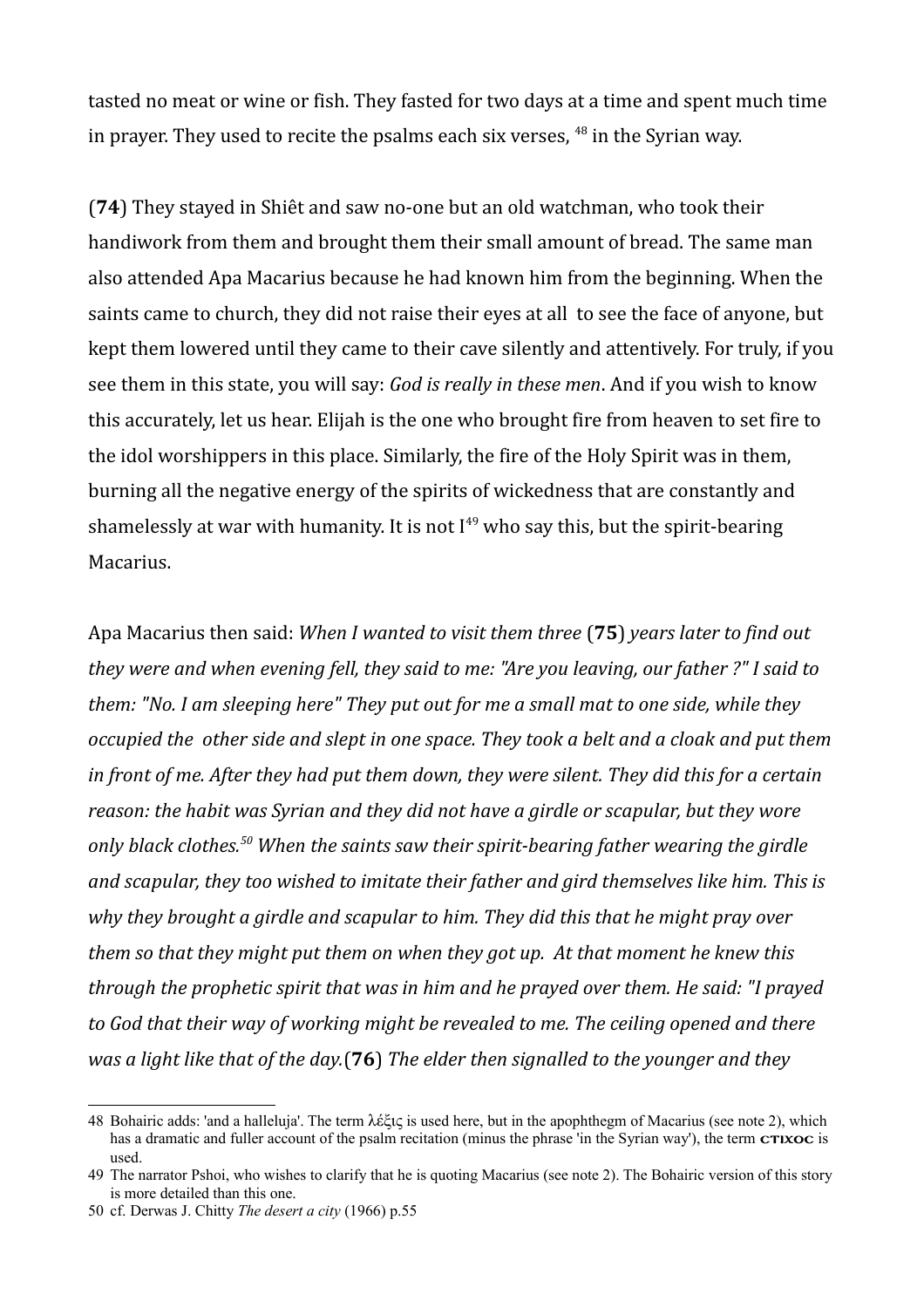tasted no meat or wine or fish. They fasted for two days at a time and spent much time in prayer. They used to recite the psalms each six verses,  $48$  in the Syrian way.

(**74**) They stayed in Shiêt and saw no-one but an old watchman, who took their handiwork from them and brought them their small amount of bread. The same man also attended Apa Macarius because he had known him from the beginning. When the saints came to church, they did not raise their eyes at all to see the face of anyone, but kept them lowered until they came to their cave silently and attentively. For truly, if you see them in this state, you will say: *God is really in these men*. And if you wish to know this accurately, let us hear. Elijah is the one who brought fire from heaven to set fire to the idol worshippers in this place. Similarly, the fire of the Holy Spirit was in them, burning all the negative energy of the spirits of wickedness that are constantly and shamelessly at war with humanity. It is not  $I^{49}$  $I^{49}$  $I^{49}$  who say this, but the spirit-bearing Macarius.

Apa Macarius then said: *When I wanted to visit them three* (**75**) *years later to find out they were and when evening fell, they said to me: "Are you leaving, our father ?" I said to them: "No. I am sleeping here" They put out for me a small mat to one side, while they occupied the other side and slept in one space. They took a belt and a cloak and put them in front of me. After they had put them down, they were silent. They did this for a certain reason: the habit was Syrian and they did not have a girdle or scapular, but they wore only black clothes.[50](#page-13-2) When the saints saw their spirit-bearing father wearing the girdle and scapular, they too wished to imitate their father and gird themselves like him. This is why they brought a girdle and scapular to him. They did this that he might pray over them so that they might put them on when they got up. At that moment he knew this through the prophetic spirit that was in him and he prayed over them. He said: "I prayed to God that their way of working might be revealed to me. The ceiling opened and there was a light like that of the day.*(**76**) *The elder then signalled to the younger and they* 

<span id="page-13-0"></span><sup>48</sup> Bohairic adds: 'and a halleluja'. The term λέξις is used here, but in the apophthegm of Macarius (see note 2), which has a dramatic and fuller account of the psalm recitation (minus the phrase 'in the Syrian way'), the term  $crixoc$  is used.

<span id="page-13-1"></span><sup>49</sup> The narrator Pshoi, who wishes to clarify that he is quoting Macarius (see note 2). The Bohairic version of this story is more detailed than this one.

<span id="page-13-2"></span><sup>50</sup> cf. Derwas J. Chitty *The desert a city* (1966) p.55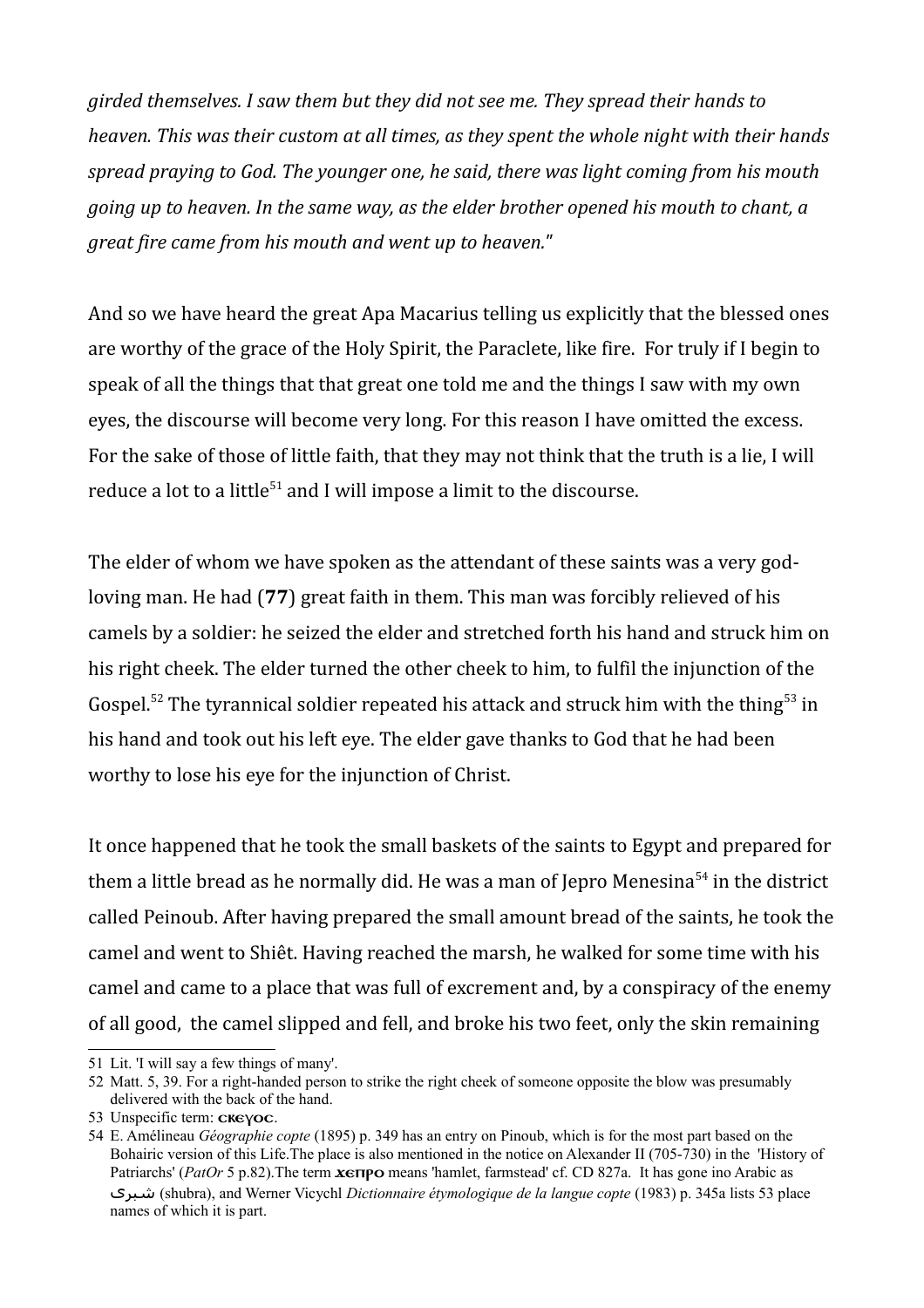*girded themselves. I saw them but they did not see me. They spread their hands to heaven. This was their custom at all times, as they spent the whole night with their hands spread praying to God. The younger one, he said, there was light coming from his mouth going up to heaven. In the same way, as the elder brother opened his mouth to chant, a great fire came from his mouth and went up to heaven."*

And so we have heard the great Apa Macarius telling us explicitly that the blessed ones are worthy of the grace of the Holy Spirit, the Paraclete, like fire. For truly if I begin to speak of all the things that that great one told me and the things I saw with my own eyes, the discourse will become very long. For this reason I have omitted the excess. For the sake of those of little faith, that they may not think that the truth is a lie, I will reduce a lot to a little<sup>[51](#page-14-0)</sup> and I will impose a limit to the discourse.

The elder of whom we have spoken as the attendant of these saints was a very godloving man. He had (**77**) great faith in them. This man was forcibly relieved of his camels by a soldier: he seized the elder and stretched forth his hand and struck him on his right cheek. The elder turned the other cheek to him, to fulfil the injunction of the Gospel.<sup>[52](#page-14-1)</sup> The tyrannical soldier repeated his attack and struck him with the thing<sup>[53](#page-14-2)</sup> in his hand and took out his left eye. The elder gave thanks to God that he had been worthy to lose his eye for the injunction of Christ.

It once happened that he took the small baskets of the saints to Egypt and prepared for them a little bread as he normally did. He was a man of Jepro Menesina<sup>[54](#page-14-3)</sup> in the district called Peinoub. After having prepared the small amount bread of the saints, he took the camel and went to Shiêt. Having reached the marsh, he walked for some time with his camel and came to a place that was full of excrement and, by a conspiracy of the enemy of all good, the camel slipped and fell, and broke his two feet, only the skin remaining

<span id="page-14-0"></span><sup>51</sup> Lit. 'I will say a few things of many'.

<span id="page-14-1"></span><sup>52</sup> Matt. 5, 39. For a right-handed person to strike the right cheek of someone opposite the blow was presumably delivered with the back of the hand.

<span id="page-14-2"></span><sup>53</sup> Unspecific term: CKEYOC.

<span id="page-14-3"></span><sup>54</sup> E. Amélineau *Géographie copte* (1895) p. 349 has an entry on Pinoub, which is for the most part based on the Bohairic version of this Life.The place is also mentioned in the notice on Alexander II (705-730) in the 'History of Patriarchs' (*PatOr* 5 p.82). The term **xerpo** means 'hamlet, farmstead' cf. CD 827a. It has gone ino Arabic as شبرى) shubra), and Werner Vicychl *Dictionnaire étymologique de la langue copte* (1983) p. 345a lists 53 place names of which it is part.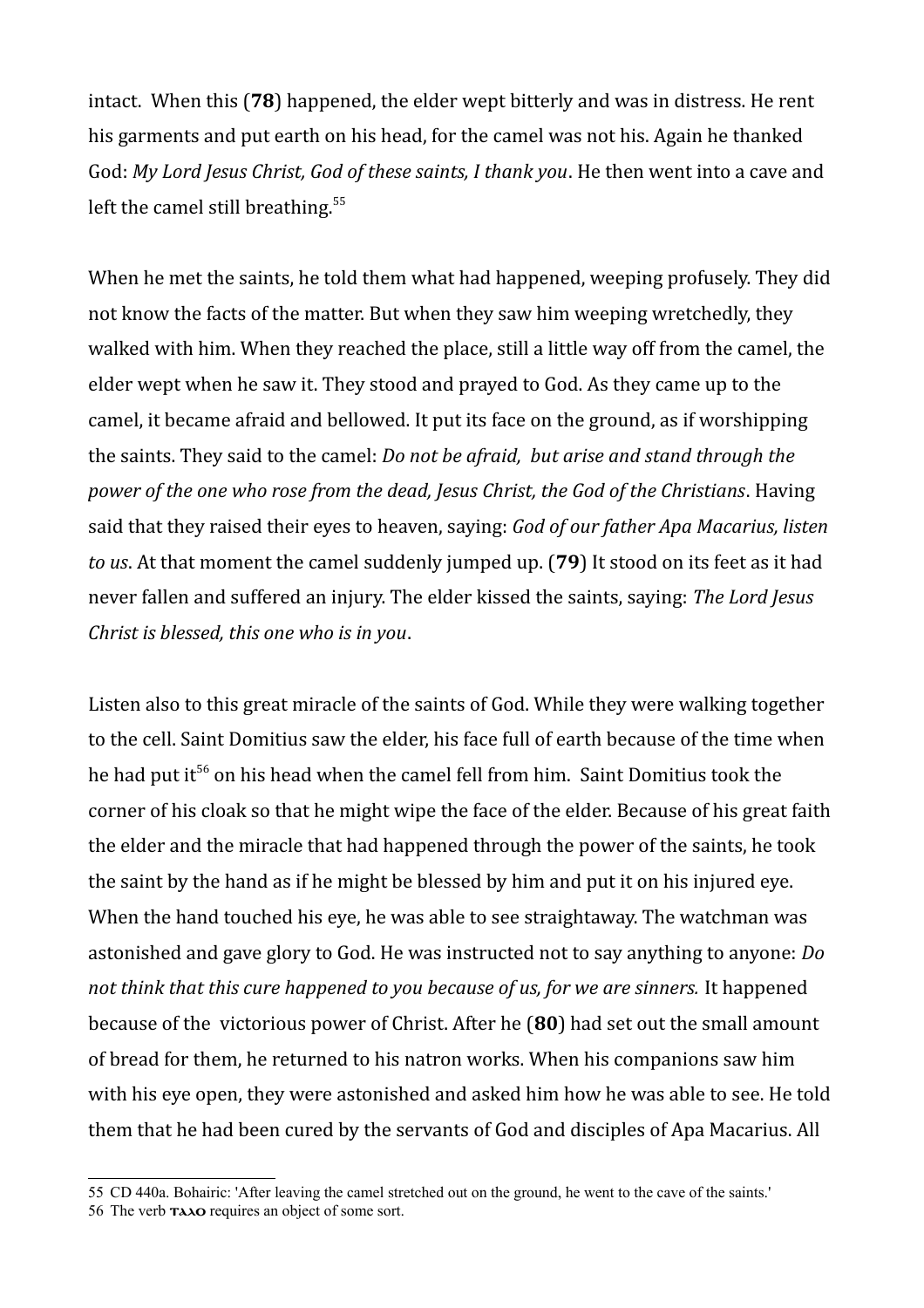intact. When this (**78**) happened, the elder wept bitterly and was in distress. He rent his garments and put earth on his head, for the camel was not his. Again he thanked God: *My Lord Jesus Christ, God of these saints, I thank you*. He then went into a cave and left the camel still breathing.<sup>[55](#page-15-0)</sup>

When he met the saints, he told them what had happened, weeping profusely. They did not know the facts of the matter. But when they saw him weeping wretchedly, they walked with him. When they reached the place, still a little way off from the camel, the elder wept when he saw it. They stood and prayed to God. As they came up to the camel, it became afraid and bellowed. It put its face on the ground, as if worshipping the saints. They said to the camel: *Do not be afraid, but arise and stand through the power of the one who rose from the dead, Jesus Christ, the God of the Christians*. Having said that they raised their eyes to heaven, saying: *God of our father Apa Macarius, listen to us*. At that moment the camel suddenly jumped up. (**79**) It stood on its feet as it had never fallen and suffered an injury. The elder kissed the saints, saying: *The Lord Jesus Christ is blessed, this one who is in you*.

Listen also to this great miracle of the saints of God. While they were walking together to the cell. Saint Domitius saw the elder, his face full of earth because of the time when he had put it<sup>[56](#page-15-1)</sup> on his head when the camel fell from him. Saint Domitius took the corner of his cloak so that he might wipe the face of the elder. Because of his great faith the elder and the miracle that had happened through the power of the saints, he took the saint by the hand as if he might be blessed by him and put it on his injured eye. When the hand touched his eye, he was able to see straightaway. The watchman was astonished and gave glory to God. He was instructed not to say anything to anyone: *Do not think that this cure happened to you because of us, for we are sinners.* It happened because of the victorious power of Christ. After he (**80**) had set out the small amount of bread for them, he returned to his natron works. When his companions saw him with his eye open, they were astonished and asked him how he was able to see. He told them that he had been cured by the servants of God and disciples of Apa Macarius. All

<span id="page-15-1"></span><span id="page-15-0"></span><sup>55</sup> CD 440a. Bohairic: 'After leaving the camel stretched out on the ground, he went to the cave of the saints.' 56 The verb  $\text{maxo}$  requires an object of some sort.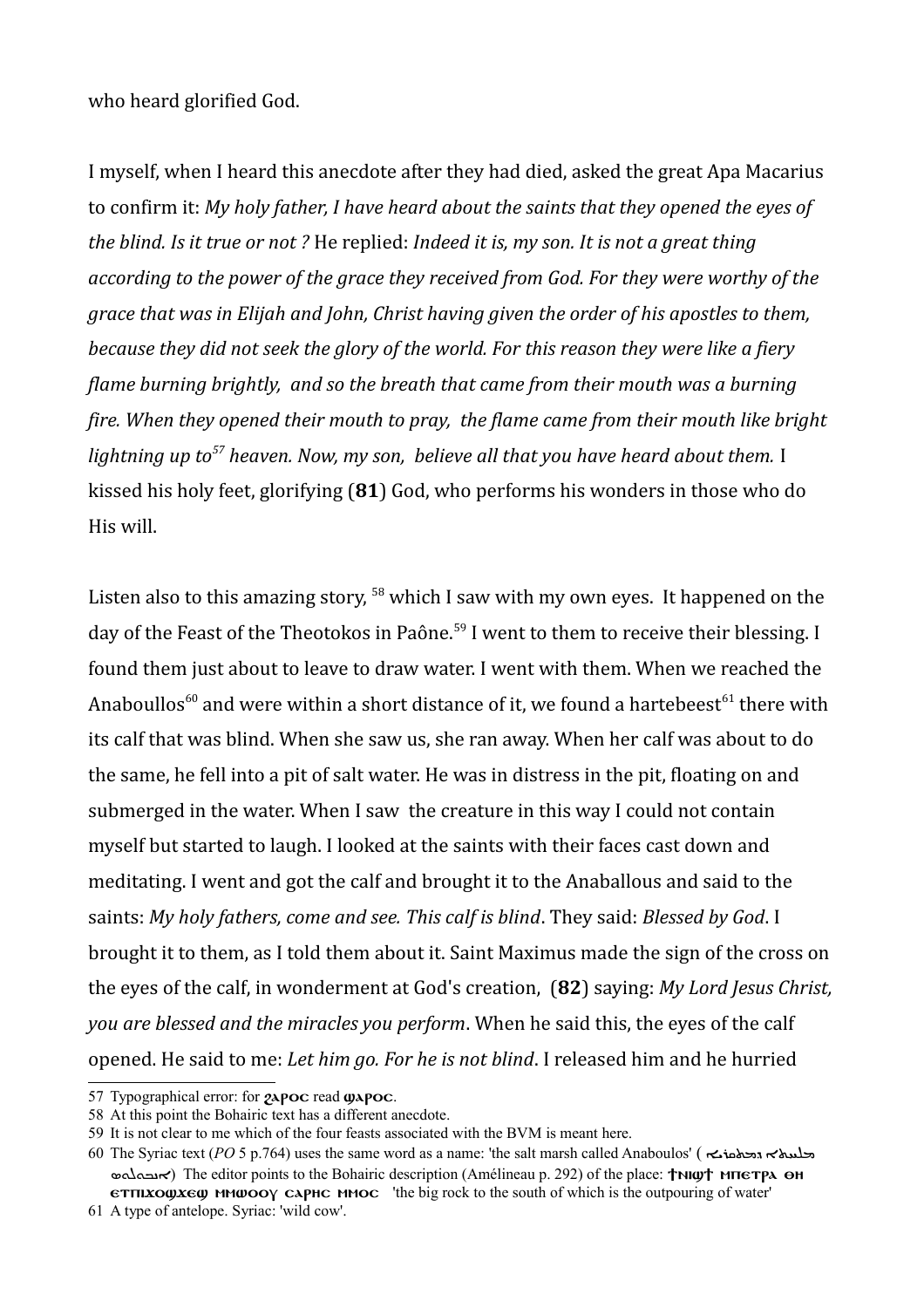who heard glorified God.

I myself, when I heard this anecdote after they had died, asked the great Apa Macarius to confirm it: *My holy father, I have heard about the saints that they opened the eyes of the blind. Is it true or not ?* He replied: *Indeed it is, my son. It is not a great thing according to the power of the grace they received from God. For they were worthy of the grace that was in Elijah and John, Christ having given the order of his apostles to them, because they did not seek the glory of the world. For this reason they were like a fiery flame burning brightly, and so the breath that came from their mouth was a burning fire. When they opened their mouth to pray, the flame came from their mouth like bright lightning up to[57](#page-16-0) heaven. Now, my son, believe all that you have heard about them.* I kissed his holy feet, glorifying (**81**) God, who performs his wonders in those who do His will.

Listen also to this amazing story,  $58$  which I saw with my own eyes. It happened on the day of the Feast of the Theotokos in Paône.<sup>[59](#page-16-2)</sup> I went to them to receive their blessing. I found them just about to leave to draw water. I went with them. When we reached the Anaboullos<sup>[60](#page-16-3)</sup> and were within a short distance of it, we found a hartebeest<sup>[61](#page-16-4)</sup> there with its calf that was blind. When she saw us, she ran away. When her calf was about to do the same, he fell into a pit of salt water. He was in distress in the pit, floating on and submerged in the water. When I saw the creature in this way I could not contain myself but started to laugh. I looked at the saints with their faces cast down and meditating. I went and got the calf and brought it to the Anaballous and said to the saints: *My holy fathers, come and see. This calf is blind*. They said: *Blessed by God*. I brought it to them, as I told them about it. Saint Maximus made the sign of the cross on the eyes of the calf, in wonderment at God's creation, (**82**) saying: *My Lord Jesus Christ, you are blessed and the miracles you perform*. When he said this, the eyes of the calf opened. He said to me: *Let him go. For he is not blind*. I released him and he hurried

<span id="page-16-0"></span><sup>57</sup> Typographical error: for  $2apoc$  read  $\omega apoc$ .

<span id="page-16-1"></span><sup>58</sup> At this point the Bohairic text has a different anecdote.

<span id="page-16-2"></span><sup>59</sup> It is not clear to me which of the four feasts associated with the BVM is meant here.

<span id="page-16-3"></span><sup>60</sup> The Syriac text (*PO* 5 p.764) uses the same word as a name: 'the salt marsh called Anaboulos' ( ܕܡܬܩܪܝܐ ܡܠܚܬܐ  $\infty$ אובה (The editor points to the Bohairic description (Amélineau p. 292) of the place: †NIW+ мпетра сн  $\epsilon$ THIXOQUES mmwooy caphc mmoc 'the big rock to the south of which is the outpouring of water'

<span id="page-16-4"></span><sup>61</sup> A type of antelope. Syriac: 'wild cow'.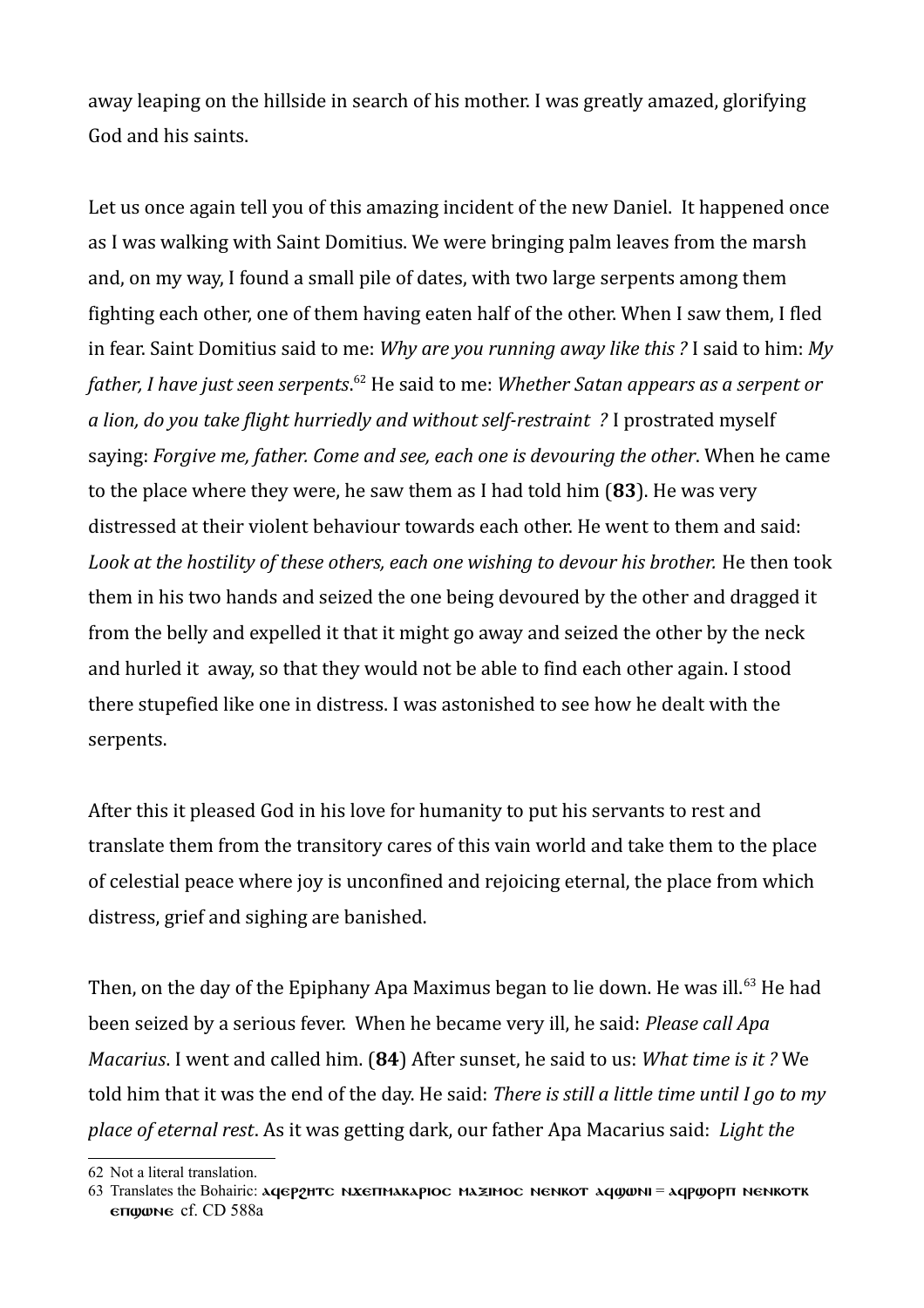away leaping on the hillside in search of his mother. I was greatly amazed, glorifying God and his saints.

Let us once again tell you of this amazing incident of the new Daniel. It happened once as I was walking with Saint Domitius. We were bringing palm leaves from the marsh and, on my way, I found a small pile of dates, with two large serpents among them fighting each other, one of them having eaten half of the other. When I saw them, I fled in fear. Saint Domitius said to me: *Why are you running away like this ?* I said to him: *My father, I have just seen serpents*. [62](#page-17-0) He said to me: *Whether Satan appears as a serpent or a lion, do you take flight hurriedly and without self-restraint ?* I prostrated myself saying: *Forgive me, father. Come and see, each one is devouring the other*. When he came to the place where they were, he saw them as I had told him (**83**). He was very distressed at their violent behaviour towards each other. He went to them and said: Look at the hostility of these others, each one wishing to devour his brother. He then took them in his two hands and seized the one being devoured by the other and dragged it from the belly and expelled it that it might go away and seized the other by the neck and hurled it away, so that they would not be able to find each other again. I stood there stupefied like one in distress. I was astonished to see how he dealt with the serpents.

After this it pleased God in his love for humanity to put his servants to rest and translate them from the transitory cares of this vain world and take them to the place of celestial peace where joy is unconfined and rejoicing eternal, the place from which distress, grief and sighing are banished.

Then, on the day of the Epiphany Apa Maximus began to lie down. He was ill.<sup>[63](#page-17-1)</sup> He had been seized by a serious fever. When he became very ill, he said: *Please call Apa Macarius*. I went and called him. (**84**) After sunset, he said to us: *What time is it ?* We told him that it was the end of the day. He said: *There is still a little time until I go to my place of eternal rest*. As it was getting dark, our father Apa Macarius said: *Light the* 

<span id="page-17-0"></span><sup>62</sup> Not a literal translation.

<span id="page-17-1"></span><sup>63</sup> Translates the Bohairic: aqepphrc NXETIMAKAPIOC MAZIMOC NENKOT aquant = aqpuopn NENKOTK eπggune cf. CD 588a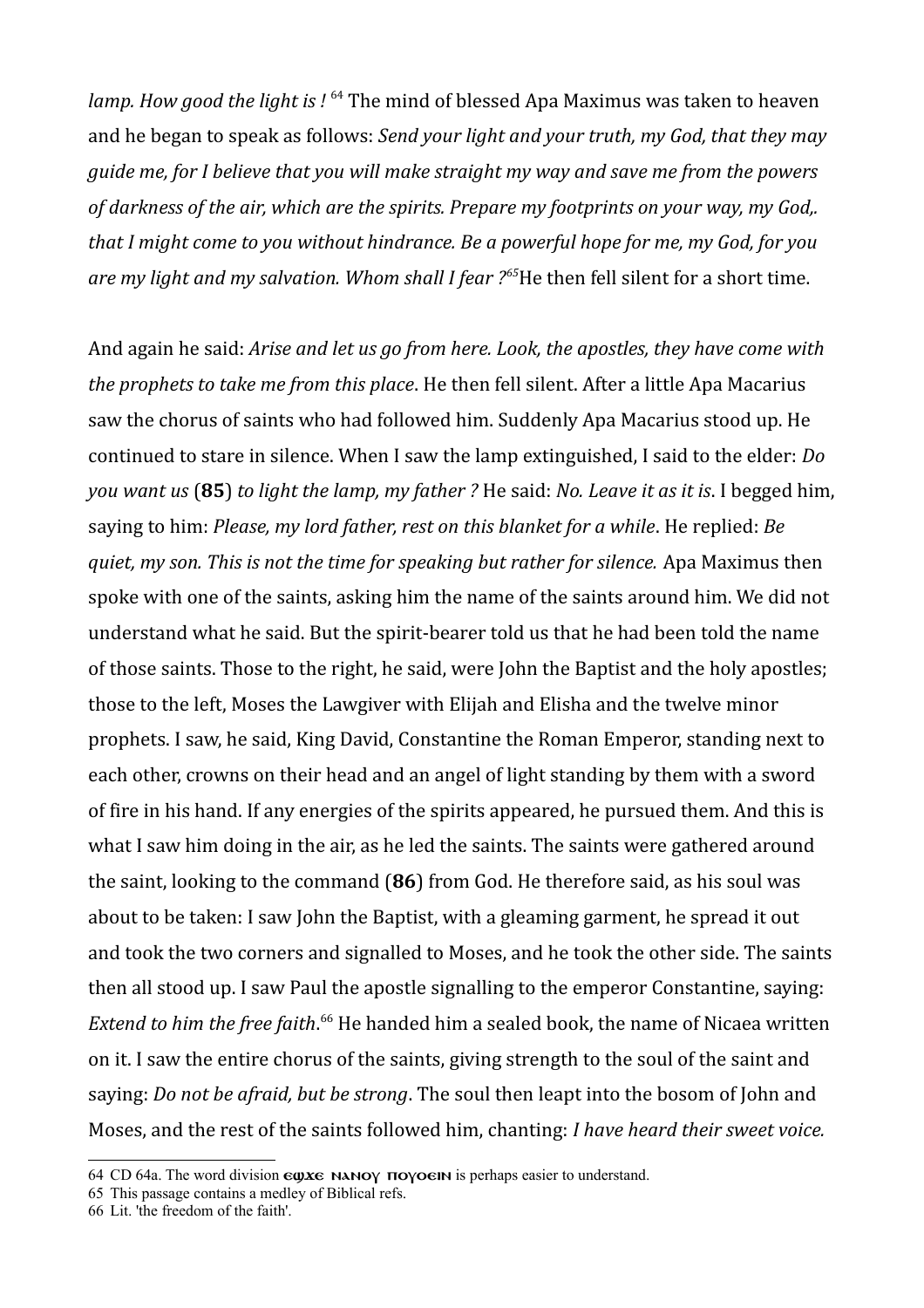*lamp. How good the light is !* [64](#page-18-0) The mind of blessed Apa Maximus was taken to heaven and he began to speak as follows: *Send your light and your truth, my God, that they may guide me, for I believe that you will make straight my way and save me from the powers of darkness of the air, which are the spirits. Prepare my footprints on your way, my God,. that I might come to you without hindrance. Be a powerful hope for me, my God, for you are my light and my salvation. Whom shall I fear ?[65](#page-18-1)*He then fell silent for a short time.

And again he said: *Arise and let us go from here. Look, the apostles, they have come with the prophets to take me from this place*. He then fell silent. After a little Apa Macarius saw the chorus of saints who had followed him. Suddenly Apa Macarius stood up. He continued to stare in silence. When I saw the lamp extinguished, I said to the elder: *Do you want us* (**85**) *to light the lamp, my father ?* He said: *No. Leave it as it is*. I begged him, saying to him: *Please, my lord father, rest on this blanket for a while*. He replied: *Be quiet, my son. This is not the time for speaking but rather for silence.* Apa Maximus then spoke with one of the saints, asking him the name of the saints around him. We did not understand what he said. But the spirit-bearer told us that he had been told the name of those saints. Those to the right, he said, were John the Baptist and the holy apostles; those to the left, Moses the Lawgiver with Elijah and Elisha and the twelve minor prophets. I saw, he said, King David, Constantine the Roman Emperor, standing next to each other, crowns on their head and an angel of light standing by them with a sword of fire in his hand. If any energies of the spirits appeared, he pursued them. And this is what I saw him doing in the air, as he led the saints. The saints were gathered around the saint, looking to the command (**86**) from God. He therefore said, as his soul was about to be taken: I saw John the Baptist, with a gleaming garment, he spread it out and took the two corners and signalled to Moses, and he took the other side. The saints then all stood up. I saw Paul the apostle signalling to the emperor Constantine, saying: *Extend to him the free faith*. [66](#page-18-2) He handed him a sealed book, the name of Nicaea written on it. I saw the entire chorus of the saints, giving strength to the soul of the saint and saying: *Do not be afraid, but be strong*. The soul then leapt into the bosom of John and Moses, and the rest of the saints followed him, chanting: *I have heard their sweet voice.* 

<span id="page-18-0"></span><sup>64</sup> CD 64a. The word division  $\epsilon \omega x \epsilon$  NANOY **TOYOGIN** is perhaps easier to understand.

<span id="page-18-1"></span><sup>65</sup> This passage contains a medley of Biblical refs.

<span id="page-18-2"></span><sup>66</sup> Lit. 'the freedom of the faith'.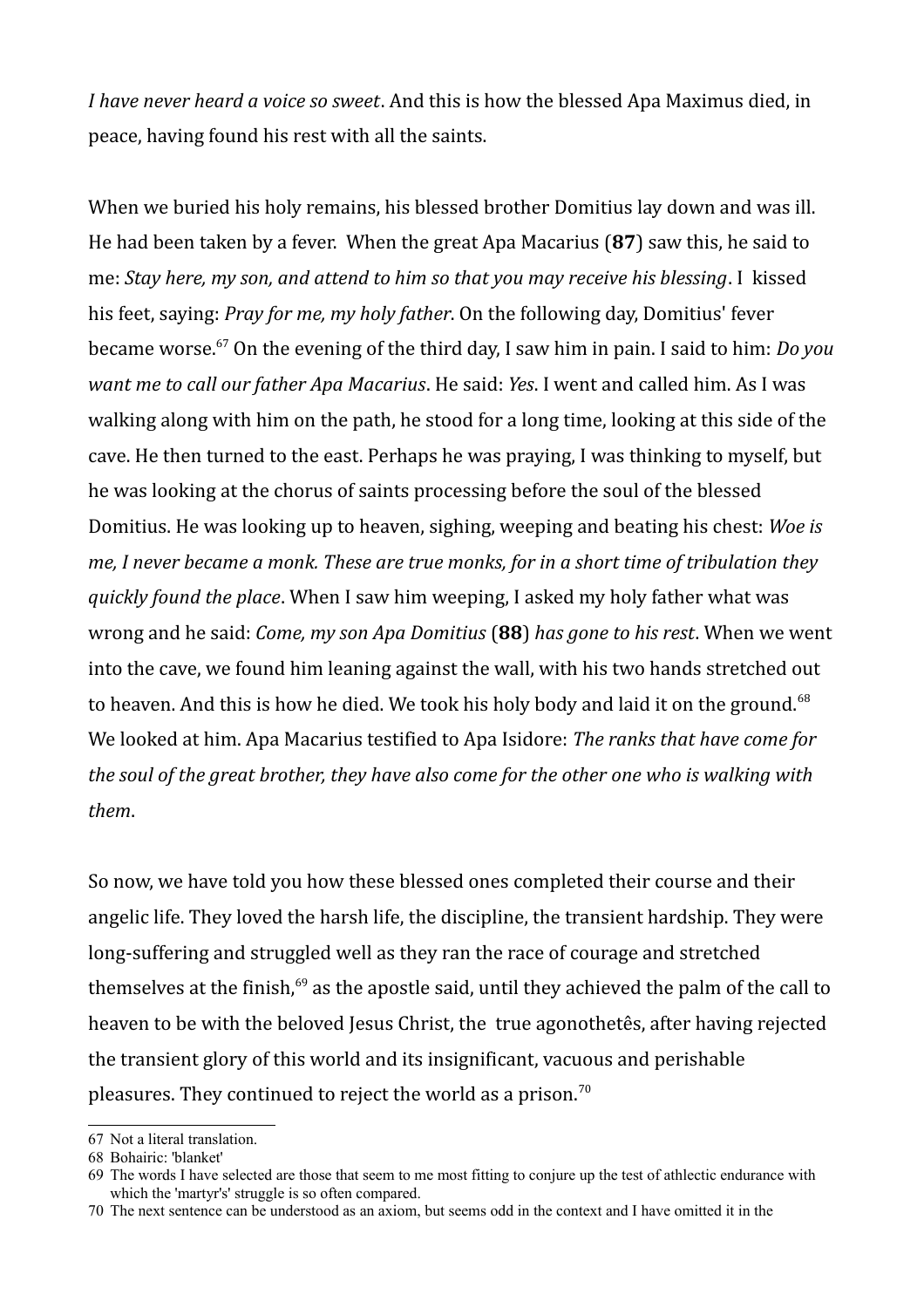*I have never heard a voice so sweet*. And this is how the blessed Apa Maximus died, in peace, having found his rest with all the saints.

When we buried his holy remains, his blessed brother Domitius lay down and was ill. He had been taken by a fever. When the great Apa Macarius (**87**) saw this, he said to me: *Stay here, my son, and attend to him so that you may receive his blessing*. I kissed his feet, saying: *Pray for me, my holy father*. On the following day, Domitius' fever became worse.[67](#page-19-0) On the evening of the third day, I saw him in pain. I said to him: *Do you want me to call our father Apa Macarius*. He said: *Yes*. I went and called him. As I was walking along with him on the path, he stood for a long time, looking at this side of the cave. He then turned to the east. Perhaps he was praying, I was thinking to myself, but he was looking at the chorus of saints processing before the soul of the blessed Domitius. He was looking up to heaven, sighing, weeping and beating his chest: *Woe is me, I never became a monk. These are true monks, for in a short time of tribulation they quickly found the place*. When I saw him weeping, I asked my holy father what was wrong and he said: *Come, my son Apa Domitius* (**88**) *has gone to his rest*. When we went into the cave, we found him leaning against the wall, with his two hands stretched out to heaven. And this is how he died. We took his holy body and laid it on the ground.<sup>[68](#page-19-1)</sup> We looked at him. Apa Macarius testified to Apa Isidore: *The ranks that have come for the soul of the great brother, they have also come for the other one who is walking with them*.

So now, we have told you how these blessed ones completed their course and their angelic life. They loved the harsh life, the discipline, the transient hardship. They were long-suffering and struggled well as they ran the race of courage and stretched themselves at the finish, $69$  as the apostle said, until they achieved the palm of the call to heaven to be with the beloved Jesus Christ, the true agonothetês, after having rejected the transient glory of this world and its insignificant, vacuous and perishable pleasures. They continued to reject the world as a prison.<sup>[70](#page-19-3)</sup>

<span id="page-19-0"></span><sup>67</sup> Not a literal translation.

<span id="page-19-1"></span><sup>68</sup> Bohairic: 'blanket'

<span id="page-19-2"></span><sup>69</sup> The words I have selected are those that seem to me most fitting to conjure up the test of athlectic endurance with which the 'martyr's' struggle is so often compared.

<span id="page-19-3"></span><sup>70</sup> The next sentence can be understood as an axiom, but seems odd in the context and I have omitted it in the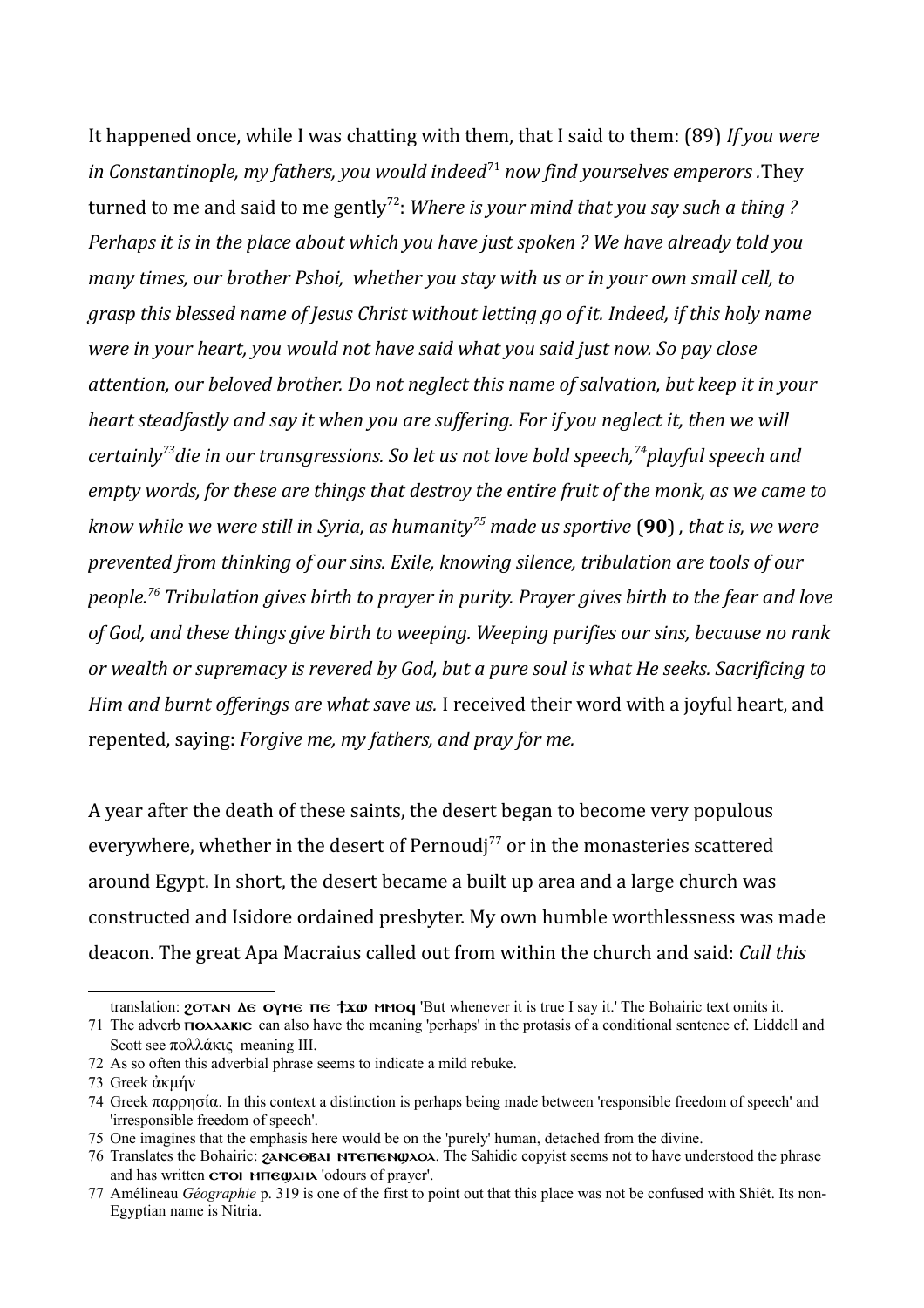It happened once, while I was chatting with them, that I said to them: (89) *If you were in Constantinople, my fathers, you would indeed*<sup>[71](#page-20-0)</sup> *now find yourselves emperors*. They turned to me and said to me gently<sup>[72](#page-20-1)</sup>: *Where is your mind that you say such a thing ? Perhaps it is in the place about which you have just spoken ? We have already told you many times, our brother Pshoi, whether you stay with us or in your own small cell, to grasp this blessed name of Jesus Christ without letting go of it. Indeed, if this holy name were in your heart, you would not have said what you said just now. So pay close attention, our beloved brother. Do not neglect this name of salvation, but keep it in your heart steadfastly and say it when you are suffering. For if you neglect it, then we will certainly[73](#page-20-2)die in our transgressions. So let us not love bold speech,[74](#page-20-3)playful speech and empty words, for these are things that destroy the entire fruit of the monk, as we came to know while we were still in Syria, as humanity[75](#page-20-4) made us sportive* (**90**) *, that is, we were prevented from thinking of our sins. Exile, knowing silence, tribulation are tools of our people.[76](#page-20-5) Tribulation gives birth to prayer in purity. Prayer gives birth to the fear and love of God, and these things give birth to weeping. Weeping purifies our sins, because no rank or wealth or supremacy is revered by God, but a pure soul is what He seeks. Sacrificing to Him and burnt offerings are what save us.* I received their word with a joyful heart, and repented, saying: *Forgive me, my fathers, and pray for me.*

A year after the death of these saints, the desert began to become very populous everywhere, whether in the desert of Pernoudj<sup>[77](#page-20-6)</sup> or in the monasteries scattered around Egypt. In short, the desert became a built up area and a large church was constructed and Isidore ordained presbyter. My own humble worthlessness was made deacon. The great Apa Macraius called out from within the church and said: *Call this* 

translation:  $\gamma$ **OTAN**  $\Delta$ **G OYMG TG**  $\gamma x \omega$  **MMOG** 'But whenever it is true I say it.' The Bohairic text omits it.

<span id="page-20-0"></span><sup>71</sup> The adverb **полежно** can also have the meaning 'perhaps' in the protasis of a conditional sentence cf. Liddell and Scott see πολλάκις meaning III.

<span id="page-20-1"></span><sup>72</sup> As so often this adverbial phrase seems to indicate a mild rebuke.

<span id="page-20-2"></span><sup>73</sup> Greek ἀκμήν

<span id="page-20-3"></span><sup>74</sup> Greek παρρησία. In this context a distinction is perhaps being made between 'responsible freedom of speech' and 'irresponsible freedom of speech'.

<span id="page-20-4"></span><sup>75</sup> One imagines that the emphasis here would be on the 'purely' human, detached from the divine.

<span id="page-20-5"></span><sup>76</sup> Translates the Bohairic: *PANCOBAI NTETIGNOLOOM*. The Sahidic copyist seems not to have understood the phrase and has written **croi Mutegy Andrew Storms** 'odours of prayer'.

<span id="page-20-6"></span><sup>77</sup> Amélineau *Géographie* p. 319 is one of the first to point out that this place was not be confused with Shiêt. Its non-Egyptian name is Nitria.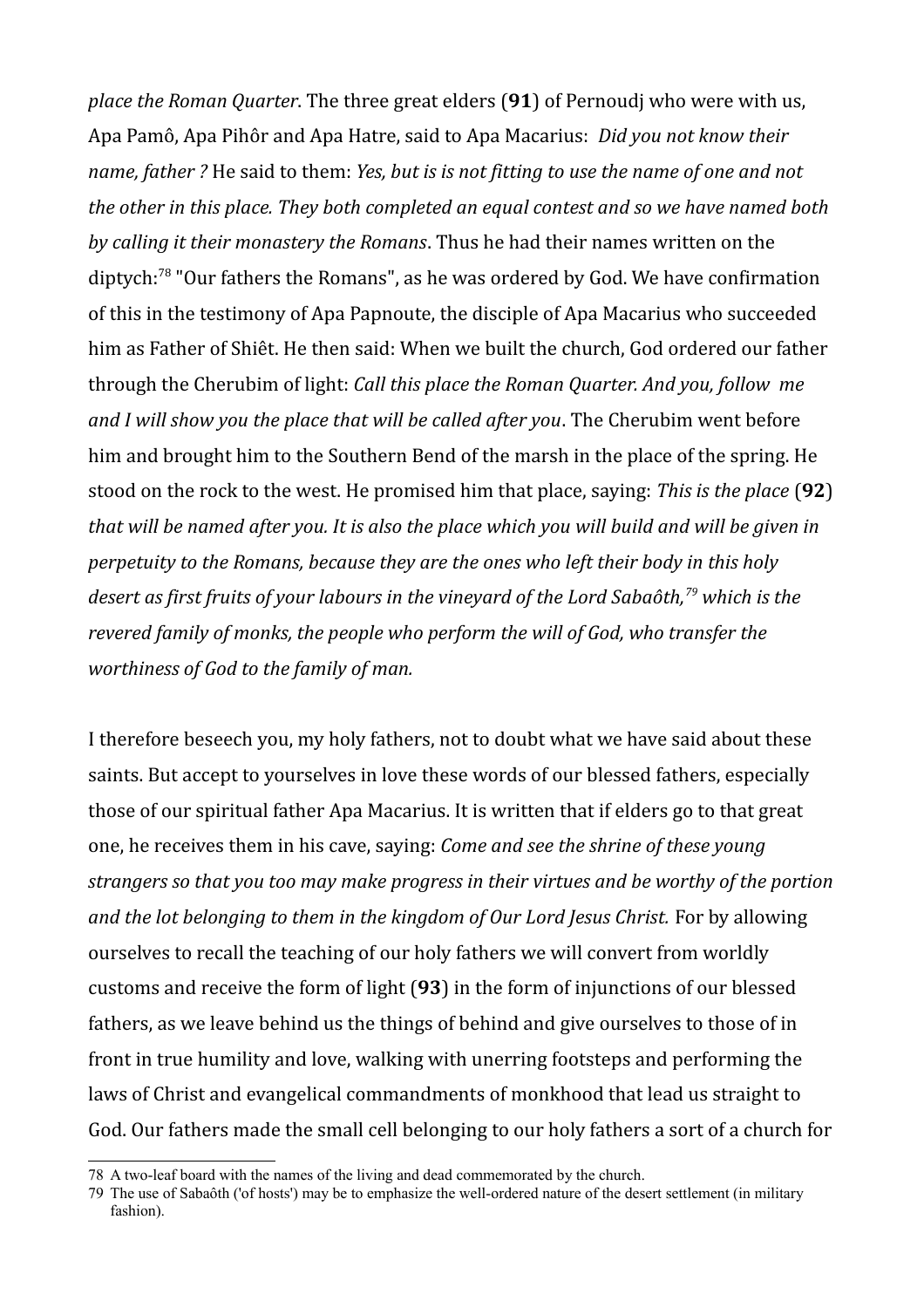*place the Roman Quarter*. The three great elders (**91**) of Pernoudj who were with us, Apa Pamô, Apa Pihôr and Apa Hatre, said to Apa Macarius: *Did you not know their name, father ?* He said to them: *Yes, but is is not fitting to use the name of one and not the other in this place. They both completed an equal contest and so we have named both by calling it their monastery the Romans*. Thus he had their names written on the diptych:[78](#page-21-0) "Our fathers the Romans", as he was ordered by God. We have confirmation of this in the testimony of Apa Papnoute, the disciple of Apa Macarius who succeeded him as Father of Shiêt. He then said: When we built the church, God ordered our father through the Cherubim of light: *Call this place the Roman Quarter. And you, follow me and I will show you the place that will be called after you*. The Cherubim went before him and brought him to the Southern Bend of the marsh in the place of the spring. He stood on the rock to the west. He promised him that place, saying: *This is the place* (**92**) *that will be named after you. It is also the place which you will build and will be given in perpetuity to the Romans, because they are the ones who left their body in this holy desert as first fruits of your labours in the vineyard of the Lord Sabaôth,[79](#page-21-1) which is the revered family of monks, the people who perform the will of God, who transfer the worthiness of God to the family of man.*

I therefore beseech you, my holy fathers, not to doubt what we have said about these saints. But accept to yourselves in love these words of our blessed fathers, especially those of our spiritual father Apa Macarius. It is written that if elders go to that great one, he receives them in his cave, saying: *Come and see the shrine of these young strangers so that you too may make progress in their virtues and be worthy of the portion and the lot belonging to them in the kingdom of Our Lord Jesus Christ.* For by allowing ourselves to recall the teaching of our holy fathers we will convert from worldly customs and receive the form of light (**93**) in the form of injunctions of our blessed fathers, as we leave behind us the things of behind and give ourselves to those of in front in true humility and love, walking with unerring footsteps and performing the laws of Christ and evangelical commandments of monkhood that lead us straight to God. Our fathers made the small cell belonging to our holy fathers a sort of a church for

<span id="page-21-0"></span><sup>78</sup> A two-leaf board with the names of the living and dead commemorated by the church.

<span id="page-21-1"></span><sup>79</sup> The use of Sabaôth ('of hosts') may be to emphasize the well-ordered nature of the desert settlement (in military fashion).